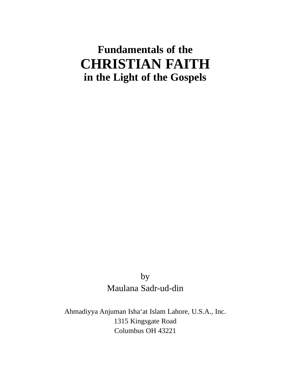# **Fundamentals of the CHRISTIAN FAITH in the Light of the Gospels**

by Maulana Sadr-ud-din

Ahmadiyya Anjuman Isha'at Islam Lahore, U.S.A., Inc. 1315 Kingsgate Road Columbus OH 43221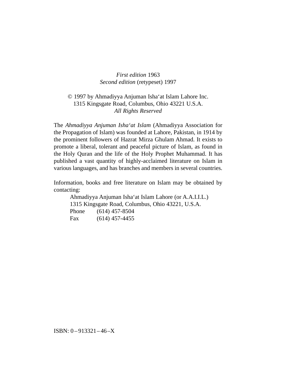*First edition* 1963 *Second edition* (retypeset) 1997

### © 1997 by Ahmadiyya Anjuman Isha'at Islam Lahore Inc. 1315 Kingsgate Road, Columbus, Ohio 43221 U.S.A. *All Rights Reserved*

The *Ahmadiyya Anjuman Isha'at Islam* (Ahmadiyya Association for the Propagation of Islam) was founded at Lahore, Pakistan, in 1914 by the prominent followers of Hazrat Mirza Ghulam Ahmad. It exists to promote a liberal, tolerant and peaceful picture of Islam, as found in the Holy Quran and the life of the Holy Prophet Muhammad. It has published a vast quantity of highly-acclaimed literature on Islam in various languages, and has branches and members in several countries.

Information, books and free literature on Islam may be obtained by contacting:

Ahmadiyya Anjuman Isha'at Islam Lahore (or A.A.I.I.L.) 1315 Kingsgate Road, Columbus, Ohio 43221, U.S.A. Phone (614) 457-8504 Fax (614) 457-4455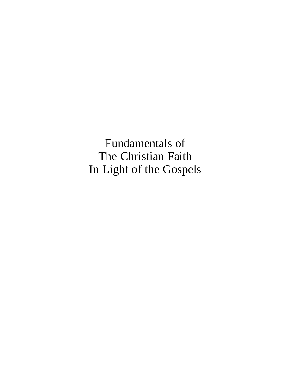Fundamentals of The Christian Faith In Light of the Gospels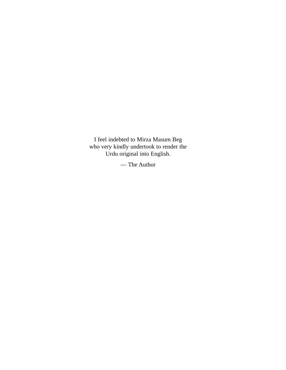I feel indebted to Mirza Masum Beg who very kindly undertook to render the Urdu original into English.

— The Author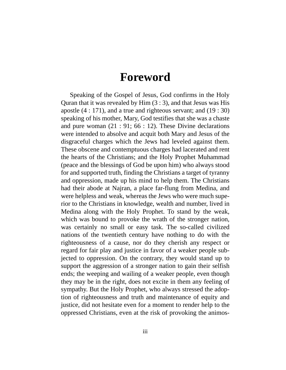# **Foreword**

Speaking of the Gospel of Jesus, God confirms in the Holy Quran that it was revealed by  $\text{Him}(3:3)$ , and that Jesus was His apostle (4 : 171), and a true and righteous servant; and (19 : 30) speaking of his mother, Mary, God testifies that she was a chaste and pure woman (21 : 91; 66 : 12). These Divine declarations were intended to absolve and acquit both Mary and Jesus of the disgraceful charges which the Jews had leveled against them. These obscene and contemptuous charges had lacerated and rent the hearts of the Christians; and the Holy Prophet Muhammad (peace and the blessings of God be upon him) who always stood for and supported truth, finding the Christians a target of tyranny and oppression, made up his mind to help them. The Christians had their abode at Najran, a place far-flung from Medina, and were helpless and weak, whereas the Jews who were much superior to the Christians in knowledge, wealth and number, lived in Medina along with the Holy Prophet. To stand by the weak, which was bound to provoke the wrath of the stronger nation, was certainly no small or easy task. The so-called civilized nations of the twentieth century have nothing to do with the righteousness of a cause, nor do they cherish any respect or regard for fair play and justice in favor of a weaker people subjected to oppression. On the contrary, they would stand up to support the aggression of a stronger nation to gain their selfish ends; the weeping and wailing of a weaker people, even though they may be in the right, does not excite in them any feeling of sympathy. But the Holy Prophet, who always stressed the adoption of righteousness and truth and maintenance of equity and justice, did not hesitate even for a moment to render help to the oppressed Christians, even at the risk of provoking the animos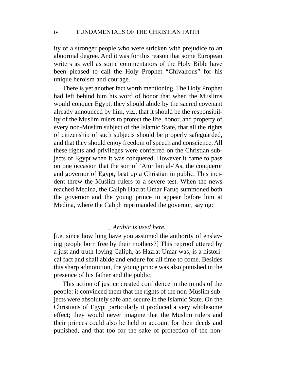ity of a stronger people who were stricken with prejudice to an abnormal degree. And it was for this reason that some European writers as well as some commentators of the Holy Bible have been pleased to call the Holy Prophet "Chivalrous" for his unique heroism and courage.

There is yet another fact worth mentioning. The Holy Prophet had left behind him his word of honor that when the Muslims would conquer Egypt, they should abide by the sacred covenant already announced by him, viz., that it should be the responsibility of the Muslim rulers to protect the life, honor, and property of every non-Muslim subject of the Islamic State, that all the rights of citizenship of such subjects should be properly safeguarded, and that they should enjoy freedom of speech and conscience. All these rights and privileges were conferred on the Christian subjects of Egypt when it was conquered. However it came to pass on one occasion that the son of 'Amr bin al-'As, the conqueror and governor of Egypt, beat up a Christian in public. This incident threw the Muslim rulers to a severe test. When the news reached Medina, the Caliph Hazrat Umar Faruq summoned both the governor and the young prince to appear before him at Medina, where the Caliph reprimanded the governor, saying:

#### **\_** *Arabic is used here.*

[i.e. since how long have you assumed the authority of enslaving people born free by their mothers?] This reproof uttered by a just and truth-loving Caliph, as Hazrat Umar was, is a historical fact and shall abide and endure for all time to come. Besides this sharp admonition, the young prince was also punished in the presence of his father and the public.

This action of justice created confidence in the minds of the people: it convinced them that the rights of the non-Muslim subjects were absolutely safe and secure in the Islamic State. On the Christians of Egypt particularly it produced a very wholesome effect; they would never imagine that the Muslim rulers and their princes could also be held to account for their deeds and punished, and that too for the sake of protection of the non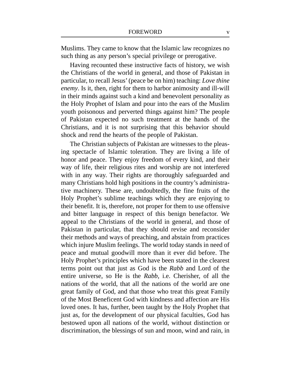Muslims. They came to know that the Islamic law recognizes no such thing as any person's special privilege or prerogative.

Having recounted these instructive facts of history, we wish the Christians of the world in general, and those of Pakistan in particular, to recall Jesus' (peace be on him) teaching: *Love thine enemy*. Is it, then, right for them to harbor animosity and ill-will in their minds against such a kind and benevolent personality as the Holy Prophet of Islam and pour into the ears of the Muslim youth poisonous and perverted things against him? The people of Pakistan expected no such treatment at the hands of the Christians, and it is not surprising that this behavior should shock and rend the hearts of the people of Pakistan.

The Christian subjects of Pakistan are witnesses to the pleasing spectacle of Islamic toleration. They are living a life of honor and peace. They enjoy freedom of every kind, and their way of life, their religious rites and worship are not interfered with in any way. Their rights are thoroughly safeguarded and many Christians hold high positions in the country's administrative machinery. These are, undoubtedly, the fine fruits of the Holy Prophet's sublime teachings which they are enjoying to their benefit. It is, therefore, not proper for them to use offensive and bitter language in respect of this benign benefactor. We appeal to the Christians of the world in general, and those of Pakistan in particular, that they should revise and reconsider their methods and ways of preaching, and abstain from practices which injure Muslim feelings. The world today stands in need of peace and mutual goodwill more than it ever did before. The Holy Prophet's principles which have been stated in the clearest terms point out that just as God is the *Rabb* and Lord of the entire universe, so He is the *Rabb*, i.e. Cherisher, of all the nations of the world, that all the nations of the world are one great family of God, and that those who treat this great Family of the Most Beneficent God with kindness and affection are His loved ones. It has, further, been taught by the Holy Prophet that just as, for the development of our physical faculties, God has bestowed upon all nations of the world, without distinction or discrimination, the blessings of sun and moon, wind and rain, in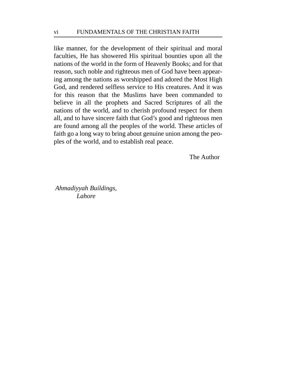like manner, for the development of their spiritual and moral faculties, He has showered His spiritual bounties upon all the nations of the world in the form of Heavenly Books; and for that reason, such noble and righteous men of God have been appearing among the nations as worshipped and adored the Most High God, and rendered selfless service to His creatures. And it was for this reason that the Muslims have been commanded to believe in all the prophets and Sacred Scriptures of all the nations of the world, and to cherish profound respect for them all, and to have sincere faith that God's good and righteous men are found among all the peoples of the world. These articles of faith go a long way to bring about genuine union among the peoples of the world, and to establish real peace.

The Author

*Ahmadiyyah Buildings, Lahore*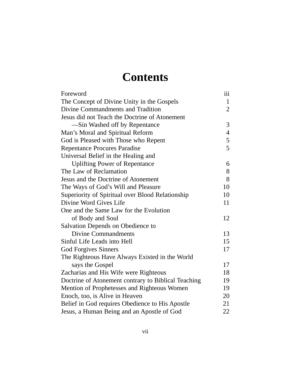# **Contents**

| Foreword                                            | 111            |
|-----------------------------------------------------|----------------|
| The Concept of Divine Unity in the Gospels          | $\mathbf{1}$   |
| Divine Commandments and Tradition                   | $\overline{2}$ |
| Jesus did not Teach the Doctrine of Atonement       |                |
| -Sin Washed off by Repentance                       | 3              |
| Man's Moral and Spiritual Reform                    | $\overline{4}$ |
| God is Pleased with Those who Repent                | 5              |
| <b>Repentance Procures Paradise</b>                 | 5              |
| Universal Belief in the Healing and                 |                |
| <b>Uplifting Power of Repentance</b>                | 6              |
| The Law of Reclamation                              | 8              |
| Jesus and the Doctrine of Atonement                 | 8              |
| The Ways of God's Will and Pleasure                 | 10             |
| Superiority of Spiritual over Blood Relationship    | 10             |
| Divine Word Gives Life                              | 11             |
| One and the Same Law for the Evolution              |                |
| of Body and Soul                                    | 12             |
| Salvation Depends on Obedience to                   |                |
| <b>Divine Commandments</b>                          | 13             |
| Sinful Life Leads into Hell                         | 15             |
| <b>God Forgives Sinners</b>                         | 17             |
| The Righteous Have Always Existed in the World      |                |
| says the Gospel                                     | 17             |
| Zacharias and His Wife were Righteous               | 18             |
| Doctrine of Atonement contrary to Biblical Teaching | 19             |
| Mention of Prophetesses and Righteous Women         | 19             |
| Enoch, too, is Alive in Heaven                      | 20             |
| Belief in God requires Obedience to His Apostle     | 21             |
| Jesus, a Human Being and an Apostle of God          | 22             |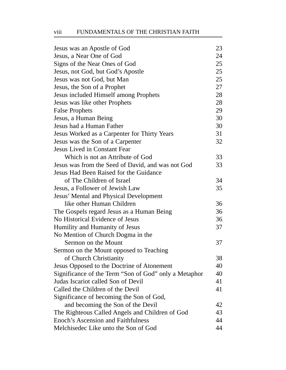# viii FUNDAMENTALS OF THE CHRISTIAN FAITH

| Jesus was an Apostle of God                           | 23 |
|-------------------------------------------------------|----|
| Jesus, a Near One of God                              | 24 |
| Signs of the Near Ones of God                         | 25 |
| Jesus, not God, but God's Apostle                     | 25 |
| Jesus was not God, but Man                            | 25 |
| Jesus, the Son of a Prophet                           | 27 |
| Jesus included Himself among Prophets                 | 28 |
| Jesus was like other Prophets                         | 28 |
| <b>False Prophets</b>                                 | 29 |
| Jesus, a Human Being                                  | 30 |
| Jesus had a Human Father                              | 30 |
| Jesus Worked as a Carpenter for Thirty Years          | 31 |
| Jesus was the Son of a Carpenter                      | 32 |
| <b>Jesus Lived in Constant Fear</b>                   |    |
| Which is not an Attribute of God                      | 33 |
| Jesus was from the Seed of David, and was not God     | 33 |
| Jesus Had Been Raised for the Guidance                |    |
| of The Children of Israel                             | 34 |
| Jesus, a Follower of Jewish Law                       | 35 |
| Jesus' Mental and Physical Development                |    |
| like other Human Children                             | 36 |
| The Gospels regard Jesus as a Human Being             | 36 |
| No Historical Evidence of Jesus                       | 36 |
| Humility and Humanity of Jesus                        | 37 |
| No Mention of Church Dogma in the                     |    |
| Sermon on the Mount                                   | 37 |
| Sermon on the Mount opposed to Teaching               |    |
| of Church Christianity                                | 38 |
| Jesus Opposed to the Doctrine of Atonement            | 40 |
| Significance of the Term "Son of God" only a Metaphor | 40 |
| Judas Iscariot called Son of Devil                    | 41 |
| Called the Children of the Devil                      | 41 |
| Significance of becoming the Son of God,              |    |
| and becoming the Son of the Devil                     | 42 |
| The Righteous Called Angels and Children of God       | 43 |
| <b>Enoch's Ascension and Faithfulness</b>             | 44 |
| Melchisedec Like unto the Son of God                  | 44 |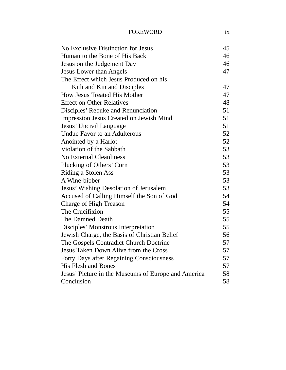| No Exclusive Distinction for Jesus                  | 45 |
|-----------------------------------------------------|----|
| Human to the Bone of His Back                       | 46 |
| Jesus on the Judgement Day                          | 46 |
| <b>Jesus Lower than Angels</b>                      | 47 |
| The Effect which Jesus Produced on his              |    |
| Kith and Kin and Disciples                          | 47 |
| <b>How Jesus Treated His Mother</b>                 | 47 |
| <b>Effect on Other Relatives</b>                    | 48 |
| Disciples' Rebuke and Renunciation                  | 51 |
| Impression Jesus Created on Jewish Mind             | 51 |
| Jesus' Uncivil Language                             | 51 |
| Undue Favor to an Adulterous                        | 52 |
| Anointed by a Harlot                                | 52 |
| Violation of the Sabbath                            | 53 |
| <b>No External Cleanliness</b>                      | 53 |
| Plucking of Others' Corn                            | 53 |
| Riding a Stolen Ass                                 | 53 |
| A Wine-bibber                                       | 53 |
| Jesus' Wishing Desolation of Jerusalem              | 53 |
| Accused of Calling Himself the Son of God           | 54 |
| Charge of High Treason                              | 54 |
| The Crucifixion                                     | 55 |
| The Damned Death                                    | 55 |
| Disciples' Monstrous Interpretation                 | 55 |
| Jewish Charge, the Basis of Christian Belief        | 56 |
| The Gospels Contradict Church Doctrine              | 57 |
| Jesus Taken Down Alive from the Cross               | 57 |
| <b>Forty Days after Regaining Consciousness</b>     | 57 |
| <b>His Flesh and Bones</b>                          | 57 |
| Jesus' Picture in the Museums of Europe and America | 58 |
| Conclusion                                          | 58 |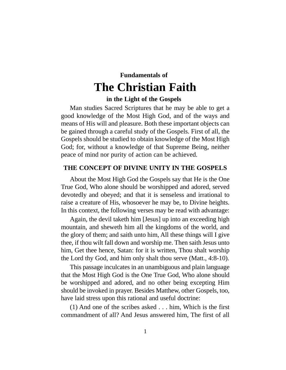# **Fundamentals of The Christian Faith**

#### **in the Light of the Gospels**

Man studies Sacred Scriptures that he may be able to get a good knowledge of the Most High God, and of the ways and means of His will and pleasure. Both these important objects can be gained through a careful study of the Gospels. First of all, the Gospels should be studied to obtain knowledge of the Most High God; for, without a knowledge of that Supreme Being, neither peace of mind nor purity of action can be achieved.

# **THE CONCEPT OF DIVINE UNITY IN THE GOSPELS**

About the Most High God the Gospels say that He is the One True God, Who alone should be worshipped and adored, served devotedly and obeyed; and that it is senseless and irrational to raise a creature of His, whosoever he may be, to Divine heights. In this context, the following verses may be read with advantage:

Again, the devil taketh him [Jesus] up into an exceeding high mountain, and sheweth him all the kingdoms of the world, and the glory of them; and saith unto him, All these things will I give thee, if thou wilt fall down and worship me. Then saith Jesus unto him, Get thee hence, Satan: for it is written, Thou shalt worship the Lord thy God, and him only shalt thou serve (Matt., 4:8-10).

This passage inculcates in an unambiguous and plain language that the Most High God is the One True God, Who alone should be worshipped and adored, and no other being excepting Him should be invoked in prayer. Besides Matthew, other Gospels, too, have laid stress upon this rational and useful doctrine:

(1) And one of the scribes asked . . . him, Which is the first commandment of all? And Jesus answered him, The first of all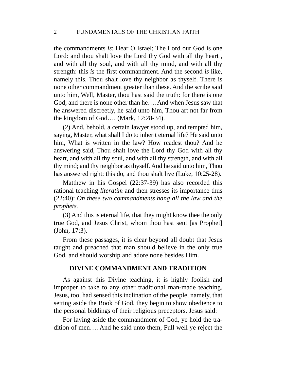the commandments *is*: Hear O Israel; The Lord our God is one Lord: and thou shalt love the Lord thy God with all thy heart, and with all thy soul, and with all thy mind, and with all thy strength: this *is* the first commandment. And the second *is* like, namely this, Thou shalt love thy neighbor as thyself. There is none other commandment greater than these. And the scribe said unto him, Well, Master, thou hast said the truth: for there is one God; and there is none other than he…. And when Jesus saw that he answered discreetly, he said unto him, Thou art not far from the kingdom of God…. (Mark, 12:28-34).

(2) And, behold, a certain lawyer stood up, and tempted him, saying, Master, what shall I do to inherit eternal life? He said unto him, What is written in the law? How readest thou? And he answering said, Thou shalt love the Lord thy God with all thy heart, and with all thy soul, and with all thy strength, and with all thy mind; and thy neighbor as thyself. And he said unto him, Thou has answered right: this do, and thou shalt live (Luke, 10:25-28).

Matthew in his Gospel (22:37-39) has also recorded this rational teaching *literatim* and then stresses its importance thus (22:40): *On these two commandments hang all the law and the prophets.*

(3) And this is eternal life, that they might know thee the only true God, and Jesus Christ, whom thou hast sent [as Prophet] (John, 17:3).

From these passages, it is clear beyond all doubt that Jesus taught and preached that man should believe in the only true God, and should worship and adore none besides Him.

#### **DIVINE COMMANDMENT AND TRADITION**

As against this Divine teaching, it is highly foolish and improper to take to any other traditional man-made teaching. Jesus, too, had sensed this inclination of the people, namely, that setting aside the Book of God, they begin to show obedience to the personal biddings of their religious preceptors. Jesus said:

For laying aside the commandment of God, ye hold the tradition of men…. And he said unto them, Full well ye reject the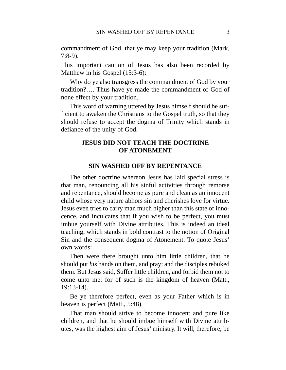commandment of God, that ye may keep your tradition (Mark, 7:8-9).

This important caution of Jesus has also been recorded by Matthew in his Gospel (15:3-6):

Why do ye also transgress the commandment of God by your tradition?…. Thus have ye made the commandment of God of none effect by your tradition.

This word of warning uttered by Jesus himself should be sufficient to awaken the Christians to the Gospel truth, so that they should refuse to accept the dogma of Trinity which stands in defiance of the unity of God.

# **JESUS DID NOT TEACH THE DOCTRINE OF ATONEMENT**

#### **SIN WASHED OFF BY REPENTANCE**

The other doctrine whereon Jesus has laid special stress is that man, renouncing all his sinful activities through remorse and repentance, should become as pure and clean as an innocent child whose very nature abhors sin and cherishes love for virtue. Jesus even tries to carry man much higher than this state of innocence, and inculcates that if you wish to be perfect, you must imbue yourself with Divine attributes. This is indeed an ideal teaching, which stands in bold contrast to the notion of Original Sin and the consequent dogma of Atonement. To quote Jesus' own words:

Then were there brought unto him little children, that he should put *his* hands on them, and pray: and the disciples rebuked them. But Jesus said, Suffer little children, and forbid them not to come unto me: for of such is the kingdom of heaven (Matt., 19:13-14).

Be ye therefore perfect, even as your Father which is in heaven is perfect (Matt., 5:48).

That man should strive to become innocent and pure like children, and that he should imbue himself with Divine attributes, was the highest aim of Jesus' ministry. It will, therefore, be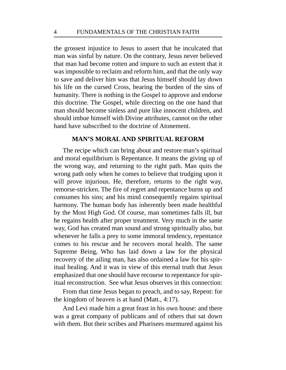the grossest injustice to Jesus to assert that he inculcated that man was sinful by nature. On the contrary, Jesus never believed that man had become rotten and impure to such an extent that it was impossible to reclaim and reform him, and that the only way to save and deliver him was that Jesus himself should lay down his life on the cursed Cross, bearing the burden of the sins of humanity. There is nothing in the Gospel to approve and endorse this doctrine. The Gospel, while directing on the one hand that man should become sinless and pure like innocent children, and should imbue himself with Divine attributes, cannot on the other hand have subscribed to the doctrine of Atonement.

# **MAN'S MORAL AND SPIRITUAL REFORM**

The recipe which can bring about and restore man's spiritual and moral equilibrium is Repentance. It means the giving up of the wrong way, and returning to the right path. Man quits the wrong path only when he comes to believe that trudging upon it will prove injurious. He, therefore, returns to the right way, remorse-stricken. The fire of regret and repentance burns up and consumes his sins; and his mind consequently regains spiritual harmony. The human body has inherently been made healthful by the Most High God. Of course, man sometimes falls ill, but he regains health after proper treatment. Very much in the same way, God has created man sound and strong spiritually also, but whenever he falls a prey to some immoral tendency, repentance comes to his rescue and he recovers moral health. The same Supreme Being, Who has laid down a law for the physical recovery of the ailing man, has also ordained a law for his spiritual healing. And it was in view of this eternal truth that Jesus emphasized that one should have recourse to repentance for spiritual reconstruction. See what Jesus observes in this connection:

From that time Jesus began to preach, and to say, Repent: for the kingdom of heaven is at hand (Matt., 4:17).

And Levi made him a great feast in his own house: and there was a great company of publicans and of others that sat down with them. But their scribes and Pharisees murmured against his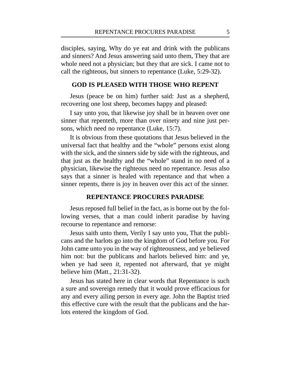disciples, saying, Why do ye eat and drink with the publicans and sinners? And Jesus answering said unto them, They that are whole need not a physician; but they that are sick. I came not to call the righteous, but sinners to repentance (Luke, 5:29-32).

#### **GOD IS PLEASED WITH THOSE WHO REPENT**

Jesus (peace be on him) further said: Just as a shepherd, recovering one lost sheep, becomes happy and pleased:

I say unto you, that likewise joy shall be in heaven over one sinner that repenteth, more than over ninety and nine just persons, which need no repentance (Luke, 15:7).

It is obvious from these quotations that Jesus believed in the universal fact that healthy and the "whole" persons exist along with the sick, and the sinners side by side with the righteous, and that just as the healthy and the "whole" stand in no need of a physician, likewise the righteous need no repentance. Jesus also says that a sinner is healed with repentance and that when a sinner repents, there is joy in heaven over this act of the sinner.

#### **REPENTANCE PROCURES PARADISE**

Jesus reposed full belief in the fact, as is borne out by the following verses, that a man could inherit paradise by having recourse to repentance and remorse:

Jesus saith unto them, Verily I say unto you, That the publicans and the harlots go into the kingdom of God before you. For John came unto you in the way of righteousness, and ye believed him not: but the publicans and harlots believed him: and ye, when ye had seen *it*, repented not afterward, that ye might believe him (Matt., 21:31-32).

Jesus has stated here in clear words that Repentance is such a sure and sovereign remedy that it would prove efficacious for any and every ailing person in every age. John the Baptist tried this effective cure with the result that the publicans and the harlots entered the kingdom of God.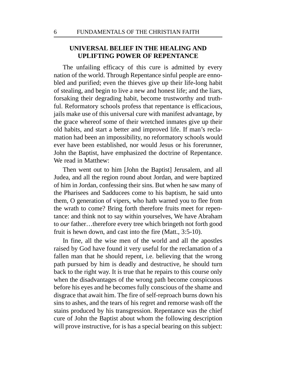# **UNIVERSAL BELIEF IN THE HEALING AND UPLIFTING POWER OF REPENTANCE**

The unfailing efficacy of this cure is admitted by every nation of the world. Through Repentance sinful people are ennobled and purified; even the thieves give up their life-long habit of stealing, and begin to live a new and honest life; and the liars, forsaking their degrading habit, become trustworthy and truthful. Reformatory schools profess that repentance is efficacious, jails make use of this universal cure with manifest advantage, by the grace whereof some of their wretched inmates give up their old habits, and start a better and improved life. If man's reclamation had been an impossibility, no reformatory schools would ever have been established, nor would Jesus or his forerunner, John the Baptist, have emphasized the doctrine of Repentance. We read in Matthew:

Then went out to him [John the Baptist] Jerusalem, and all Judea, and all the region round about Jordan, and were baptized of him in Jordan, confessing their sins. But when he saw many of the Pharisees and Sadducees come to his baptism, he said unto them, O generation of vipers, who hath warned you to flee from the wrath to come? Bring forth therefore fruits meet for repentance: and think not to say within yourselves, We have Abraham to *our* father…therefore every tree which bringeth not forth good fruit is hewn down, and cast into the fire (Matt., 3:5-10).

In fine, all the wise men of the world and all the apostles raised by God have found it very useful for the reclamation of a fallen man that he should repent, i.e. believing that the wrong path pursued by him is deadly and destructive, he should turn back to the right way. It is true that he repairs to this course only when the disadvantages of the wrong path become conspicuous before his eyes and he becomes fully conscious of the shame and disgrace that await him. The fire of self-reproach burns down his sins to ashes, and the tears of his regret and remorse wash off the stains produced by his transgression. Repentance was the chief cure of John the Baptist about whom the following description will prove instructive, for is has a special bearing on this subject: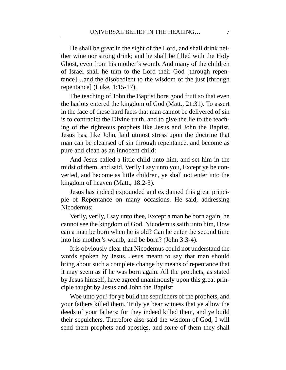He shall be great in the sight of the Lord, and shall drink neither wine nor strong drink; and he shall be filled with the Holy Ghost, even from his mother's womb. And many of the children of Israel shall he turn to the Lord their God [through repentance]…and the disobedient to the wisdom of the just [through repentance] (Luke, 1:15-17).

The teaching of John the Baptist bore good fruit so that even the harlots entered the kingdom of God (Matt., 21:31). To assert in the face of these hard facts that man cannot be delivered of sin is to contradict the Divine truth, and to give the lie to the teaching of the righteous prophets like Jesus and John the Baptist. Jesus has, like John, laid utmost stress upon the doctrine that man can be cleansed of sin through repentance, and become as pure and clean as an innocent child:

And Jesus called a little child unto him, and set him in the midst of them, and said, Verily I say unto you, Except ye be converted, and become as little children, ye shall not enter into the kingdom of heaven (Matt., 18:2-3).

Jesus has indeed expounded and explained this great principle of Repentance on many occasions. He said, addressing Nicodemus:

Verily, verily, I say unto thee, Except a man be born again, he cannot see the kingdom of God. Nicodemus saith unto him, How can a man be born when he is old? Can he enter the second time into his mother's womb, and be born? (John 3:3-4).

It is obviously clear that Nicodemus could not understand the words spoken by Jesus. Jesus meant to say that man should bring about such a complete change by means of repentance that it may seem as if he was born again. All the prophets, as stated by Jesus himself, have agreed unanimously upon this great principle taught by Jesus and John the Baptist:

send them prophets and apostles, and *some* of them they shall Woe unto you! for ye build the sepulchers of the prophets, and your fathers killed them. Truly ye bear witness that ye allow the deeds of your fathers: for they indeed killed them, and ye build their sepulchers. Therefore also said the wisdom of God, I will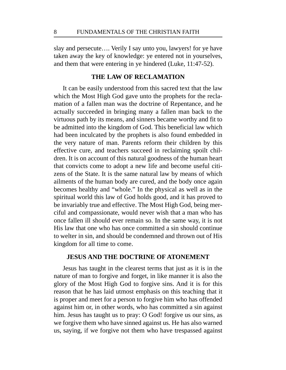slay and persecute…. Verily I say unto you, lawyers! for ye have taken away the key of knowledge: ye entered not in yourselves, and them that were entering in ye hindered (Luke, 11:47-52).

#### **THE LAW OF RECLAMATION**

It can be easily understood from this sacred text that the law which the Most High God gave unto the prophets for the reclamation of a fallen man was the doctrine of Repentance, and he actually succeeded in bringing many a fallen man back to the virtuous path by its means, and sinners became worthy and fit to be admitted into the kingdom of God. This beneficial law which had been inculcated by the prophets is also found embedded in the very nature of man. Parents reform their children by this effective cure, and teachers succeed in reclaiming spoilt children. It is on account of this natural goodness of the human heart that convicts come to adopt a new life and become useful citizens of the State. It is the same natural law by means of which ailments of the human body are cured, and the body once again becomes healthy and "whole." In the physical as well as in the spiritual world this law of God holds good, and it has proved to be invariably true and effective. The Most High God, being merciful and compassionate, would never wish that a man who has once fallen ill should ever remain so. In the same way, it is not His law that one who has once committed a sin should continue to welter in sin, and should be condemned and thrown out of His kingdom for all time to come.

#### **JESUS AND THE DOCTRINE OF ATONEMENT**

Jesus has taught in the clearest terms that just as it is in the nature of man to forgive and forget, in like manner it is also the glory of the Most High God to forgive sins. And it is for this reason that he has laid utmost emphasis on this teaching that it is proper and meet for a person to forgive him who has offended against him or, in other words, who has committed a sin against him. Jesus has taught us to pray: O God! forgive us our sins, as we forgive them who have sinned against us. He has also warned us, saying, if we forgive not them who have trespassed against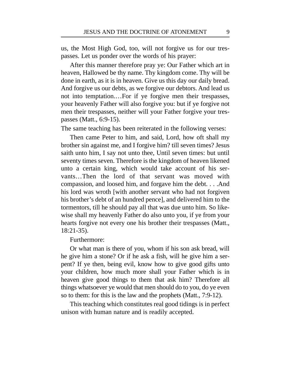us, the Most High God, too, will not forgive us for our trespasses. Let us ponder over the words of his prayer:

After this manner therefore pray ye: Our Father which art in heaven, Hallowed be thy name. Thy kingdom come. Thy will be done in earth, as it is in heaven. Give us this day our daily bread. And forgive us our debts, as we forgive our debtors. And lead us not into temptation.…For if ye forgive men their trespasses, your heavenly Father will also forgive you: but if ye forgive not men their trespasses, neither will your Father forgive your trespasses (Matt., 6:9-15).

The same teaching has been reiterated in the following verses:

Then came Peter to him, and said, Lord, how oft shall my brother sin against me, and I forgive him? till seven times? Jesus saith unto him, I say not unto thee, Until seven times: but until seventy times seven. Therefore is the kingdom of heaven likened unto a certain king, which would take account of his servants…Then the lord of that servant was moved with compassion, and loosed him, and forgave him the debt. . . .And his lord was wroth [with another servant who had not forgiven his brother's debt of an hundred pence], and delivered him to the tormentors, till he should pay all that was due unto him. So likewise shall my heavenly Father do also unto you, if ye from your hearts forgive not every one his brother their trespasses (Matt., 18:21-35).

#### Furthermore:

Or what man is there of you, whom if his son ask bread, will he give him a stone? Or if he ask a fish, will he give him a serpent? If ye then, being evil, know how to give good gifts unto your children, how much more shall your Father which is in heaven give good things to them that ask him? Therefore all things whatsoever ye would that men should do to you, do ye even so to them: for this is the law and the prophets (Matt., 7:9-12).

This teaching which constitutes real good tidings is in perfect unison with human nature and is readily accepted.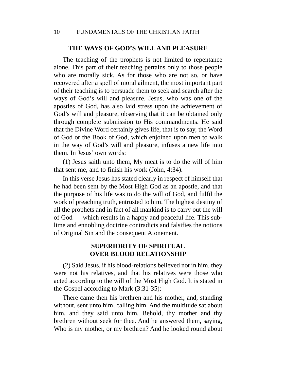#### **THE WAYS OF GOD'S WILL AND PLEASURE**

The teaching of the prophets is not limited to repentance alone. This part of their teaching pertains only to those people who are morally sick. As for those who are not so, or have recovered after a spell of moral ailment, the most important part of their teaching is to persuade them to seek and search after the ways of God's will and pleasure. Jesus, who was one of the apostles of God, has also laid stress upon the achievement of God's will and pleasure, observing that it can be obtained only through complete submission to His commandments. He said that the Divine Word certainly gives life, that is to say, the Word of God or the Book of God, which enjoined upon men to walk in the way of God's will and pleasure, infuses a new life into them. In Jesus' own words:

(1) Jesus saith unto them, My meat is to do the will of him that sent me, and to finish his work (John, 4:34).

In this verse Jesus has stated clearly in respect of himself that he had been sent by the Most High God as an apostle, and that the purpose of his life was to do the will of God, and fulfil the work of preaching truth, entrusted to him. The highest destiny of all the prophets and in fact of all mankind is to carry out the will of God — which results in a happy and peaceful life. This sublime and ennobling doctrine contradicts and falsifies the notions of Original Sin and the consequent Atonement.

# **SUPERIORITY OF SPIRITUAL OVER BLOOD RELATIONSHIP**

(2) Said Jesus, if his blood-relations believed not in him, they were not his relatives, and that his relatives were those who acted according to the will of the Most High God. It is stated in the Gospel according to Mark (3:31-35):

There came then his brethren and his mother, and, standing without, sent unto him, calling him. And the multitude sat about him, and they said unto him, Behold, thy mother and thy brethren without seek for thee. And he answered them, saying, Who is my mother, or my brethren? And he looked round about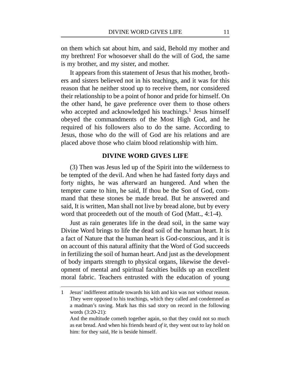on them which sat about him, and said, Behold my mother and my brethren! For whosoever shall do the will of God, the same is my brother, and my sister, and mother.

It appears from this statement of Jesus that his mother, brothers and sisters believed not in his teachings, and it was for this reason that he neither stood up to receive them, nor considered their relationship to be a point of honor and pride for himself. On the other hand, he gave preference over them to those others who accepted and acknowledged his teachings.<sup>1</sup> Jesus himself obeyed the commandments of the Most High God, and he required of his followers also to do the same. According to Jesus, those who do the will of God are his relations and are placed above those who claim blood relationship with him.

#### **DIVINE WORD GIVES LIFE**

(3) Then was Jesus led up of the Spirit into the wilderness to be tempted of the devil. And when he had fasted forty days and forty nights, he was afterward an hungered. And when the tempter came to him, he said, If thou be the Son of God, command that these stones be made bread. But he answered and said, It is written, Man shall not live by bread alone, but by every word that proceedeth out of the mouth of God (Matt., 4:1-4).

Just as rain generates life in the dead soil, in the same way Divine Word brings to life the dead soil of the human heart. It is a fact of Nature that the human heart is God-conscious, and it is on account of this natural affinity that the Word of God succeeds in fertilizing the soil of human heart. And just as the development of body imparts strength to physical organs, likewise the development of mental and spiritual faculties builds up an excellent moral fabric. Teachers entrusted with the education of young

<sup>1</sup> Jesus' indifferent attitude towards his kith and kin was not without reason. They were opposed to his teachings, which they called and condemned as a madman's raving. Mark has this sad story on record in the following words (3:20-21):

And the multitude cometh together again, so that they could not so much as eat bread. And when his friends heard *of it*, they went out to lay hold on him: for they said, He is beside himself.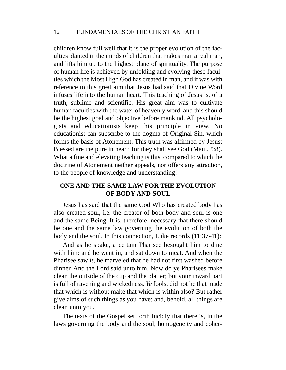children know full well that it is the proper evolution of the faculties planted in the minds of children that makes man a real man, and lifts him up to the highest plane of spirituality. The purpose of human life is achieved by unfolding and evolving these faculties which the Most High God has created in man, and it was with reference to this great aim that Jesus had said that Divine Word infuses life into the human heart. This teaching of Jesus is, of a truth, sublime and scientific. His great aim was to cultivate human faculties with the water of heavenly word, and this should be the highest goal and objective before mankind. All psychologists and educationists keep this principle in view. No educationist can subscribe to the dogma of Original Sin, which forms the basis of Atonement. This truth was affirmed by Jesus: Blessed are the pure in heart: for they shall see God (Matt., 5:8). What a fine and elevating teaching is this, compared to which the doctrine of Atonement neither appeals, nor offers any attraction, to the people of knowledge and understanding!

# **ONE AND THE SAME LAW FOR THE EVOLUTION OF BODY AND SOUL**

Jesus has said that the same God Who has created body has also created soul, i.e. the creator of both body and soul is one and the same Being. It is, therefore, necessary that there should be one and the same law governing the evolution of both the body and the soul. In this connection, Luke records (11:37-41):

And as he spake, a certain Pharisee besought him to dine with him: and he went in, and sat down to meat. And when the Pharisee saw *it*, he marveled that he had not first washed before dinner. And the Lord said unto him, Now do ye Pharisees make clean the outside of the cup and the platter; but your inward part is full of ravening and wickedness. *Ye* fools, did not he that made that which is without make that which is within also? But rather give alms of such things as you have; and, behold, all things are clean unto you.

The texts of the Gospel set forth lucidly that there is, in the laws governing the body and the soul, homogeneity and coher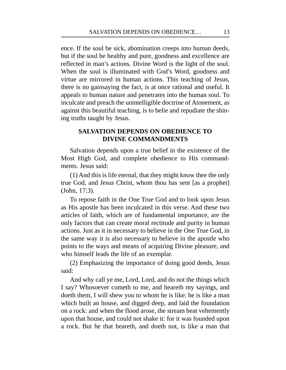ence. If the soul be sick, abomination creeps into human deeds, but if the soul be healthy and pure, goodness and excellence are reflected in man's actions. Divine Word is the light of the soul. When the soul is illuminated with God's Word, goodness and virtue are mirrored in human actions. This teaching of Jesus, there is no gainsaying the fact, is at once rational and useful. It appeals to human nature and penetrates into the human soul. To inculcate and preach the unintelligible doctrine of Atonement, as against this beautiful teaching, is to belie and repudiate the shining truths taught by Jesus.

# **SALVATION DEPENDS ON OBEDIENCE TO DIVINE COMMANDMENTS**

Salvation depends upon a true belief in the existence of the Most High God, and complete obedience to His commandments. Jesus said:

(1) And this is life eternal, that they might know thee the only true God, and Jesus Christ, whom thou has sent [as a prophet] (John, 17:3).

To repose faith in the One True God and to look upon Jesus as His apostle has been inculcated in this verse. And these two articles of faith, which are of fundamental importance, are the only factors that can create moral rectitude and purity in human actions. Just as it in necessary to believe in the One True God, in the same way it is also necessary to believe in the apostle who points to the ways and means of acquiring Divine pleasure, and who himself leads the life of an exemplar.

(2) Emphasizing the importance of doing good deeds, Jesus said:

And why call ye me, Lord, Lord, and do not the things which I say? Whosoever cometh to me, and heareth my sayings, and doeth them, I will shew you to whom he is like: he is like a man which built an house, and digged deep, and laid the foundation on a rock: and when the flood arose, the stream beat vehemently upon that house, and could not shake it: for it was founded upon a rock. But he that heareth, and doeth not, is like a man that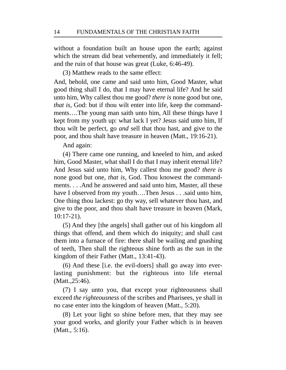without a foundation built an house upon the earth; against which the stream did beat vehemently, and immediately it fell; and the ruin of that house was great (Luke, 6:46-49).

(3) Matthew reads to the same effect:

And, behold, one came and said unto him, Good Master, what good thing shall I do, that I may have eternal life? And he said unto him, Why callest thou me good? *there is* none good but one, *that is*, God: but if thou wilt enter into life, keep the commandments….The young man saith unto him, All these things have I kept from my youth up: what lack I yet? Jesus said unto him, If thou wilt be perfect, go *and* sell that thou hast, and give to the poor, and thou shalt have treasure in heaven (Matt., 19:16-21).

And again:

(4) There came one running, and kneeled to him, and asked him, Good Master, what shall I do that I may inherit eternal life? And Jesus said unto him, Why callest thou me good? *there is* none good but one, *that is*, God. Thou knowest the commandments. . . .And he answered and said unto him, Master, all these have I observed from my youth....Then Jesus . . .said unto him, One thing thou lackest: go thy way, sell whatever thou hast, and give to the poor, and thou shalt have treasure in heaven (Mark, 10:17-21).

(5) And they [the angels] shall gather out of his kingdom all things that offend, and them which do iniquity; and shall cast them into a furnace of fire: there shall be wailing and gnashing of teeth, Then shall the righteous shine forth as the sun in the kingdom of their Father (Matt., 13:41-43).

(6) And these [i.e. the evil-doers] shall go away into everlasting punishment: but the righteous into life eternal (Matt.,25:46).

(7) I say unto you, that except your righteousness shall exceed *the righteousness* of the scribes and Pharisees, ye shall in no case enter into the kingdom of heaven (Matt., 5:20).

(8) Let your light so shine before men, that they may see your good works, and glorify your Father which is in heaven (Matt., 5:16).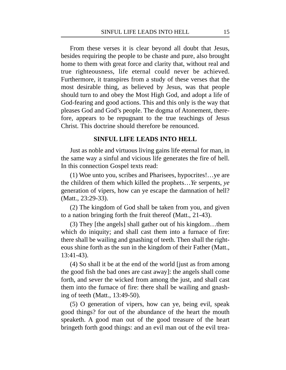From these verses it is clear beyond all doubt that Jesus, besides requiring the people to be chaste and pure, also brought home to them with great force and clarity that, without real and true righteousness, life eternal could never be achieved. Furthermore, it transpires from a study of these verses that the most desirable thing, as believed by Jesus, was that people should turn to and obey the Most High God, and adopt a life of God-fearing and good actions. This and this only is the way that pleases God and God's people. The dogma of Atonement, therefore, appears to be repugnant to the true teachings of Jesus Christ. This doctrine should therefore be renounced.

#### **SINFUL LIFE LEADS INTO HELL**

Just as noble and virtuous living gains life eternal for man, in the same way a sinful and vicious life generates the fire of hell. In this connection Gospel texts read:

(1) Woe unto you, scribes and Pharisees, hypocrites!…ye are the children of them which killed the prophets…*Ye* serpents, *ye* generation of vipers, how can ye escape the damnation of hell? (Matt., 23:29-33).

(2) The kingdom of God shall be taken from you, and given to a nation bringing forth the fruit thereof (Matt., 21-43).

(3) They [the angels] shall gather out of his kingdom…them which do iniquity; and shall cast them into a furnace of fire: there shall be wailing and gnashing of teeth. Then shall the righteous shine forth as the sun in the kingdom of their Father (Matt., 13:41-43).

(4) So shall it be at the end of the world [just as from among the good fish the bad ones are cast away]: the angels shall come forth, and sever the wicked from among the just, and shall cast them into the furnace of fire: there shall be wailing and gnashing of teeth (Matt., 13:49-50).

(5) O generation of vipers, how can ye, being evil, speak good things? for out of the abundance of the heart the mouth speaketh. A good man out of the good treasure of the heart bringeth forth good things: and an evil man out of the evil trea-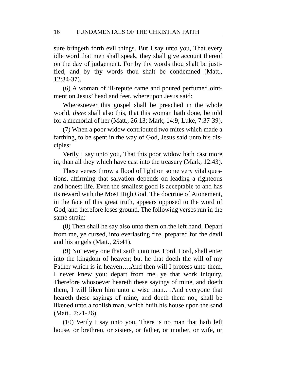sure bringeth forth evil things. But I say unto you, That every idle word that men shall speak, they shall give account thereof on the day of judgement. For by thy words thou shalt be justified, and by thy words thou shalt be condemned (Matt., 12:34-37).

(6) A woman of ill-repute came and poured perfumed ointment on Jesus' head and feet, whereupon Jesus said:

Wheresoever this gospel shall be preached in the whole world, *there* shall also this, that this woman hath done, be told for a memorial of her (Matt., 26:13; Mark, 14:9; Luke, 7:37-39).

(7) When a poor widow contributed two mites which made a farthing, to be spent in the way of God, Jesus said unto his disciples:

Verily I say unto you, That this poor widow hath cast more in, than all they which have cast into the treasury (Mark, 12:43).

These verses throw a flood of light on some very vital questions, affirming that salvation depends on leading a righteous and honest life. Even the smallest good is acceptable to and has its reward with the Most High God. The doctrine of Atonement, in the face of this great truth, appears opposed to the word of God, and therefore loses ground. The following verses run in the same strain:

(8) Then shall he say also unto them on the left hand, Depart from me, ye cursed, into everlasting fire, prepared for the devil and his angels (Matt., 25:41).

(9) Not every one that saith unto me, Lord, Lord, shall enter into the kingdom of heaven; but he that doeth the will of my Father which is in heaven….And then will I profess unto them, I never knew you: depart from me, ye that work iniquity. Therefore whosoever heareth these sayings of mine, and doeth them, I will liken him unto a wise man….And everyone that heareth these sayings of mine, and doeth them not, shall be likened unto a foolish man, which built his house upon the sand (Matt., 7:21-26).

(10) Verily I say unto you, There is no man that hath left house, or brethren, or sisters, or father, or mother, or wife, or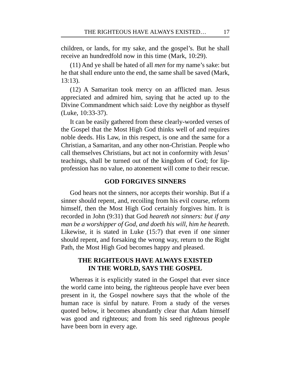children, or lands, for my sake, and the gospel's. But he shall receive an hundredfold now in this time (Mark, 10:29).

(11) And ye shall be hated of all *men* for my name's sake: but he that shall endure unto the end, the same shall be saved (Mark, 13:13).

(12) A Samaritan took mercy on an afflicted man. Jesus appreciated and admired him, saying that he acted up to the Divine Commandment which said: Love thy neighbor as thyself (Luke, 10:33-37).

It can be easily gathered from these clearly-worded verses of the Gospel that the Most High God thinks well of and requires noble deeds. His Law, in this respect, is one and the same for a Christian, a Samaritan, and any other non-Christian. People who call themselves Christians, but act not in conformity with Jesus' teachings, shall be turned out of the kingdom of God; for lipprofession has no value, no atonement will come to their rescue.

#### **GOD FORGIVES SINNERS**

God hears not the sinners, nor accepts their worship. But if a sinner should repent, and, recoiling from his evil course, reform himself, then the Most High God certainly forgives him. It is recorded in John (9:31) that God *heareth not sinners: but if any man be a worshipper of God, and doeth his will, him he heareth*. Likewise, it is stated in Luke (15:7) that even if one sinner should repent, and forsaking the wrong way, return to the Right Path, the Most High God becomes happy and pleased.

# **THE RIGHTEOUS HAVE ALWAYS EXISTED IN THE WORLD, SAYS THE GOSPEL**

Whereas it is explicitly stated in the Gospel that ever since the world came into being, the righteous people have ever been present in it, the Gospel nowhere says that the whole of the human race is sinful by nature. From a study of the verses quoted below, it becomes abundantly clear that Adam himself was good and righteous; and from his seed righteous people have been born in every age.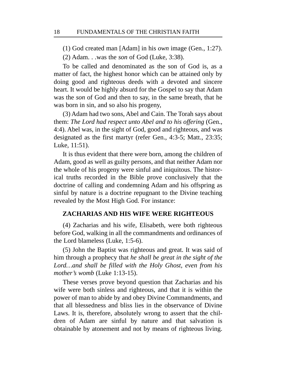(1) God created man [Adam] in his *own* image (Gen., 1:27).

(2) Adam. . .was the *son* of God (Luke, 3:38).

To be called and denominated as the son of God is, as a matter of fact, the highest honor which can be attained only by doing good and righteous deeds with a devoted and sincere heart. It would be highly absurd for the Gospel to say that Adam was the *son* of God and then to say, in the same breath, that he was born in sin, and so also his progeny,

(3) Adam had two sons, Abel and Cain. The Torah says about them: *The Lord had respect unto Abel and to his offering* (Gen., 4:4). Abel was, in the sight of God, good and righteous, and was designated as the first martyr (refer Gen., 4:3-5; Matt., 23:35; Luke, 11:51).

It is thus evident that there were born, among the children of Adam, good as well as guilty persons, and that neither Adam nor the whole of his progeny were sinful and iniquitous. The historical truths recorded in the Bible prove conclusively that the doctrine of calling and condemning Adam and his offspring as sinful by nature is a doctrine repugnant to the Divine teaching revealed by the Most High God. For instance:

#### **ZACHARIAS AND HIS WIFE WERE RIGHTEOUS**

(4) Zacharias and his wife, Elisabeth, were both righteous before God, walking in all the commandments and ordinances of the Lord blameless (Luke, 1:5-6).

(5) John the Baptist was righteous and great. It was said of him through a prophecy that *he shall be great in the sight of the Lord…and shall be filled with the Holy Ghost, even from his mother's womb* (Luke 1:13-15).

These verses prove beyond question that Zacharias and his wife were both sinless and righteous, and that it is within the power of man to abide by and obey Divine Commandments, and that all blessedness and bliss lies in the observance of Divine Laws. It is, therefore, absolutely wrong to assert that the children of Adam are sinful by nature and that salvation is obtainable by atonement and not by means of righteous living.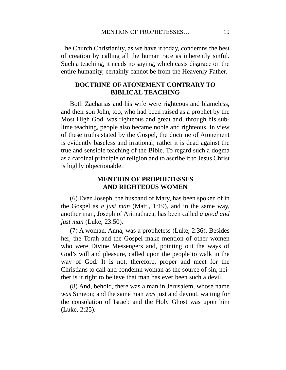The Church Christianity, as we have it today, condemns the best of creation by calling all the human race as inherently sinful. Such a teaching, it needs no saying, which casts disgrace on the entire humanity, certainly cannot be from the Heavenly Father.

# **DOCTRINE OF ATONEMENT CONTRARY TO BIBLICAL TEACHING**

Both Zacharias and his wife were righteous and blameless, and their son John, too, who had been raised as a prophet by the Most High God, was righteous and great and, through his sublime teaching, people also became noble and righteous. In view of these truths stated by the Gospel, the doctrine of Atonement is evidently baseless and irrational; rather it is dead against the true and sensible teaching of the Bible. To regard such a dogma as a cardinal principle of religion and to ascribe it to Jesus Christ is highly objectionable.

# **MENTION OF PROPHETESSES AND RIGHTEOUS WOMEN**

(6) Even Joseph, the husband of Mary, has been spoken of in the Gospel as *a just man* (Matt., 1:19), and in the same way, another man, Joseph of Arimathaea, has been called *a good and just man* (Luke, 23:50).

(7) A woman, Anna, was a prophetess (Luke, 2:36). Besides her, the Torah and the Gospel make mention of other women who were Divine Messengers and, pointing out the ways of God's will and pleasure, called upon the people to walk in the way of God. It is not, therefore, proper and meet for the Christians to call and condemn woman as the source of sin, neither is it right to believe that man has ever been such a devil.

(8) And, behold, there was a man in Jerusalem, whose name *was* Simeon; and the same man *was* just and devout, waiting for the consolation of Israel: and the Holy Ghost was upon him (Luke, 2:25).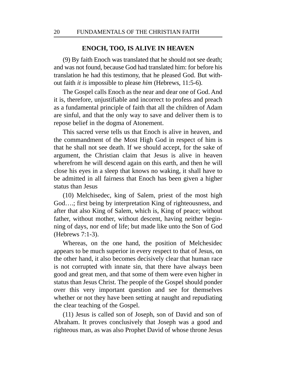#### **ENOCH, TOO, IS ALIVE IN HEAVEN**

(9) By faith Enoch was translated that he should not see death; and was not found, because God had translated him: for before his translation he had this testimony, that he pleased God. But without faith *it is* impossible to please *him* (Hebrews, 11:5-6).

The Gospel calls Enoch as the near and dear one of God. And it is, therefore, unjustifiable and incorrect to profess and preach as a fundamental principle of faith that all the children of Adam are sinful, and that the only way to save and deliver them is to repose belief in the dogma of Atonement.

This sacred verse tells us that Enoch is alive in heaven, and the commandment of the Most High God in respect of him is that he shall not see death. If we should accept, for the sake of argument, the Christian claim that Jesus is alive in heaven wherefrom he will descend again on this earth, and then he will close his eyes in a sleep that knows no waking, it shall have to be admitted in all fairness that Enoch has been given a higher status than Jesus

(10) Melchisedec, king of Salem, priest of the most high God….; first being by interpretation King of righteousness, and after that also King of Salem, which is, King of peace; without father, without mother, without descent, having neither beginning of days, nor end of life; but made like unto the Son of God (Hebrews 7:1-3).

Whereas, on the one hand, the position of Melchesidec appears to be much superior in every respect to that of Jesus, on the other hand, it also becomes decisively clear that human race is not corrupted with innate sin, that there have always been good and great men, and that some of them were even higher in status than Jesus Christ. The people of the Gospel should ponder over this very important question and see for themselves whether or not they have been setting at naught and repudiating the clear teaching of the Gospel.

(11) Jesus is called son of Joseph, son of David and son of Abraham. It proves conclusively that Joseph was a good and righteous man, as was also Prophet David of whose throne Jesus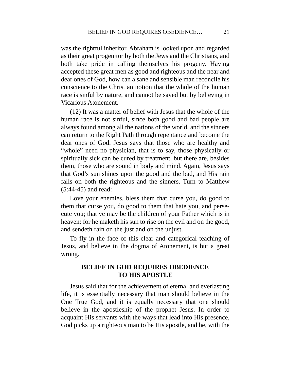was the rightful inheritor. Abraham is looked upon and regarded as their great progenitor by both the Jews and the Christians, and both take pride in calling themselves his progeny. Having accepted these great men as good and righteous and the near and dear ones of God, how can a sane and sensible man reconcile his conscience to the Christian notion that the whole of the human race is sinful by nature, and cannot be saved but by believing in Vicarious Atonement.

(12) It was a matter of belief with Jesus that the whole of the human race is not sinful, since both good and bad people are always found among all the nations of the world, and the sinners can return to the Right Path through repentance and become the dear ones of God. Jesus says that those who are healthy and "whole" need no physician, that is to say, those physically or spiritually sick can be cured by treatment, but there are, besides them, those who are sound in body and mind. Again, Jesus says that God's sun shines upon the good and the bad, and His rain falls on both the righteous and the sinners. Turn to Matthew (5:44-45) and read:

Love your enemies, bless them that curse you, do good to them that curse you, do good to them that hate you, and persecute you; that ye may be the children of your Father which is in heaven: for he maketh his sun to rise on the evil and on the good, and sendeth rain on the just and on the unjust.

To fly in the face of this clear and categorical teaching of Jesus, and believe in the dogma of Atonement, is but a great wrong.

# **BELIEF IN GOD REQUIRES OBEDIENCE TO HIS APOSTLE**

Jesus said that for the achievement of eternal and everlasting life, it is essentially necessary that man should believe in the One True God, and it is equally necessary that one should believe in the apostleship of the prophet Jesus. In order to acquaint His servants with the ways that lead into His presence, God picks up a righteous man to be His apostle, and he, with the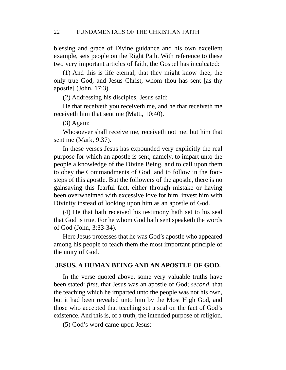blessing and grace of Divine guidance and his own excellent example, sets people on the Right Path. With reference to these two very important articles of faith, the Gospel has inculcated:

(1) And this is life eternal, that they might know thee, the only true God, and Jesus Christ, whom thou has sent [as thy apostle] (John, 17:3).

(2) Addressing his disciples, Jesus said:

He that receiveth you receiveth me, and he that receiveth me receiveth him that sent me (Matt., 10:40).

(3) Again:

Whosoever shall receive me, receiveth not me, but him that sent me (Mark, 9:37).

In these verses Jesus has expounded very explicitly the real purpose for which an apostle is sent, namely, to impart unto the people a knowledge of the Divine Being, and to call upon them to obey the Commandments of God, and to follow in the footsteps of this apostle. But the followers of the apostle, there is no gainsaying this fearful fact, either through mistake or having been overwhelmed with excessive love for him, invest him with Divinity instead of looking upon him as an apostle of God.

(4) He that hath received his testimony hath set to his seal that God is true. For he whom God hath sent speaketh the words of God (John, 3:33-34).

Here Jesus professes that he was God's apostle who appeared among his people to teach them the most important principle of the unity of God.

#### **JESUS, A HUMAN BEING AND AN APOSTLE OF GOD.**

In the verse quoted above, some very valuable truths have been stated: *first*, that Jesus was an apostle of God; *second*, that the teaching which he imparted unto the people was not his own, but it had been revealed unto him by the Most High God, and those who accepted that teaching set a seal on the fact of God's existence. And this is, of a truth, the intended purpose of religion.

(5) God's word came upon Jesus: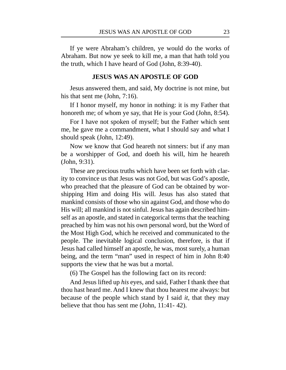If ye were Abraham's children, ye would do the works of Abraham. But now ye seek to kill me, a man that hath told you the truth, which I have heard of God (John, 8:39-40).

#### **JESUS WAS AN APOSTLE OF GOD**

Jesus answered them, and said, My doctrine is not mine, but his that sent me (John, 7:16).

If I honor myself, my honor in nothing: it is my Father that honoreth me; of whom ye say, that He is your God (John, 8:54).

For I have not spoken of myself; but the Father which sent me, he gave me a commandment, what I should say and what I should speak (John, 12:49).

Now we know that God heareth not sinners: but if any man be a worshipper of God, and doeth his will, him he heareth (John, 9:31).

These are precious truths which have been set forth with clarity to convince us that Jesus was not God, but was God's apostle, who preached that the pleasure of God can be obtained by worshipping Him and doing His will. Jesus has also stated that mankind consists of those who sin against God, and those who do His will; all mankind is not sinful. Jesus has again described himself as an apostle, and stated in categorical terms that the teaching preached by him was not his own personal word, but the Word of the Most High God, which he received and communicated to the people. The inevitable logical conclusion, therefore, is that if Jesus had called himself an apostle, he was, most surely, a human being, and the term "man" used in respect of him in John 8:40 supports the view that he was but a mortal.

(6) The Gospel has the following fact on its record:

And Jesus lifted up *his* eyes, and said, Father I thank thee that thou hast heard me. And I knew that thou hearest me always: but because of the people which stand by I said *it*, that they may believe that thou has sent me (John, 11:41- 42).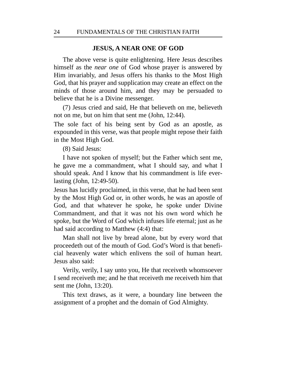#### **JESUS, A NEAR ONE OF GOD**

The above verse is quite enlightening. Here Jesus describes himself as the *near one* of God whose prayer is answered by Him invariably, and Jesus offers his thanks to the Most High God, that his prayer and supplication may create an effect on the minds of those around him, and they may be persuaded to believe that he is a Divine messenger.

(7) Jesus cried and said, He that believeth on me, believeth not on me, but on him that sent me (John, 12:44).

The sole fact of his being sent by God as an apostle, as expounded in this verse, was that people might repose their faith in the Most High God.

(8) Said Jesus:

I have not spoken of myself; but the Father which sent me, he gave me a commandment, what I should say, and what I should speak. And I know that his commandment is life everlasting (John, 12:49-50).

Jesus has lucidly proclaimed, in this verse, that he had been sent by the Most High God or, in other words, he was an apostle of God, and that whatever he spoke, he spoke under Divine Commandment, and that it was not his own word which he spoke, but the Word of God which infuses life eternal; just as he had said according to Matthew (4:4) that:

Man shall not live by bread alone, but by every word that proceedeth out of the mouth of God. God's Word is that beneficial heavenly water which enlivens the soil of human heart. Jesus also said:

Verily, verily, I say unto you, He that receiveth whomsoever I send receiveth me; and he that receiveth me receiveth him that sent me (John, 13:20).

This text draws, as it were, a boundary line between the assignment of a prophet and the domain of God Almighty.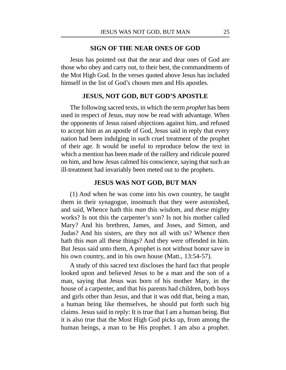### **SIGN OF THE NEAR ONES OF GOD**

Jesus has pointed out that the near and dear ones of God are those who obey and carry out, to their best, the commandments of the Mot High God. In the verses quoted above Jesus has included himself in the list of God's chosen men and His apostles.

# **JESUS, NOT GOD, BUT GOD'S APOSTLE**

The following sacred texts, in which the term *prophet* has been used in respect of Jesus, may now be read with advantage. When the opponents of Jesus raised objections against him, and refused to accept him as an apostle of God, Jesus said in reply that every nation had been indulging in such cruel treatment of the prophet of their age. It would be useful to reproduce below the text in which a mention has been made of the raillery and ridicule poured on him, and how Jesus calmed his conscience, saying that such an ill-treatment had invariably been meted out to the prophets.

### **JESUS WAS NOT GOD, BUT MAN**

(1) And when he was come into his own country, he taught them in their synagogue, insomuch that they were astonished, and said, Whence hath this *man* this wisdom, and *these* mighty works? Is not this the carpenter's son? Is not his mother called Mary? And his brethren, James, and Joses, and Simon, and Judas? And his sisters, are they not all with us? Whence then hath this *man* all these things? And they were offended in him. But Jesus said unto them, A prophet is not without honor save in his own country, and in his own house (Matt., 13:54-57).

A study of this sacred text discloses the hard fact that people looked upon and believed Jesus to be a man and the son of a man, saying that Jesus was born of his mother Mary, in the house of a carpenter, and that his parents had children, both boys and girls other than Jesus, and that it was odd that, being a man, a human being like themselves, he should put forth such big claims. Jesus said in reply: It is true that I am a human being. But it is also true that the Most High God picks up, from among the human beings, a man to be His prophet. I am also a prophet.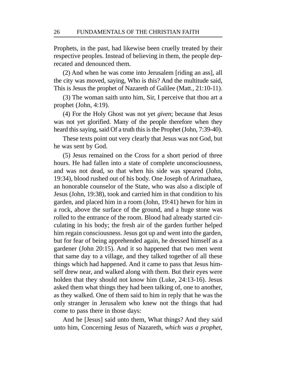Prophets, in the past, had likewise been cruelly treated by their respective peoples. Instead of believing in them, the people deprecated and denounced them.

(2) And when he was come into Jerusalem [riding an ass], all the city was moved, saying, Who is this? And the multitude said, This is Jesus the prophet of Nazareth of Galilee (Matt., 21:10-11).

(3) The woman saith unto him, Sir, I perceive that thou art a prophet (John, 4:19).

(4) For the Holy Ghost was not yet *given*; because that Jesus was not yet glorified. Many of the people therefore when they heard this saying, said Of a truth this is the Prophet (John, 7:39-40).

These texts point out very clearly that Jesus was not God, but he was sent by God.

(5) Jesus remained on the Cross for a short period of three hours. He had fallen into a state of complete unconsciousness, and was not dead, so that when his side was speared (John, 19:34), blood rushed out of his body. One Joseph of Arimathaea, an honorable counselor of the State, who was also a disciple of Jesus (John, 19:38), took and carried him in that condition to his garden, and placed him in a room (John, 19:41) hewn for him in a rock, above the surface of the ground, and a huge stone was rolled to the entrance of the room. Blood had already started circulating in his body; the fresh air of the garden further helped him regain consciousness. Jesus got up and went into the garden, but for fear of being apprehended again, he dressed himself as a gardener (John 20:15). And it so happened that two men went that same day to a village, and they talked together of all these things which had happened. And it came to pass that Jesus himself drew near, and walked along with them. But their eyes were holden that they should not know him (Luke, 24:13-16). Jesus asked them what things they had been talking of, one to another, as they walked. One of them said to him in reply that he was the only stranger in Jerusalem who knew not the things that had come to pass there in those days:

And he [Jesus] said unto them, What things? And they said unto him, Concerning Jesus of Nazareth, *which was a prophet*,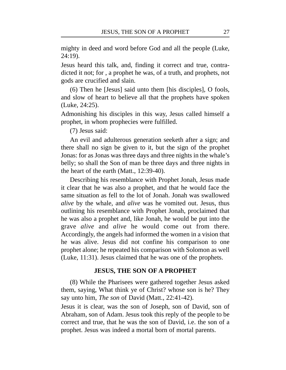mighty in deed and word before God and all the people (Luke, 24:19).

Jesus heard this talk, and, finding it correct and true, contradicted it not; for , a prophet he was, of a truth, and prophets, not gods are crucified and slain.

(6) Then he [Jesus] said unto them [his disciples], O fools, and slow of heart to believe all that the prophets have spoken (Luke, 24:25).

Admonishing his disciples in this way, Jesus called himself a prophet, in whom prophecies were fulfilled.

(7) Jesus said:

An evil and adulterous generation seeketh after a sign; and there shall no sign be given to it, but the sign of the prophet Jonas: for as Jonas was three days and three nights in the whale's belly; so shall the Son of man be three days and three nights in the heart of the earth (Matt., 12:39-40).

Describing his resemblance with Prophet Jonah, Jesus made it clear that he was also a prophet, and that he would face the same situation as fell to the lot of Jonah. Jonah was swallowed *alive* by the whale, and *alive* was he vomited out. Jesus, thus outlining his resemblance with Prophet Jonah, proclaimed that he was also a prophet and, like Jonah, he would be put into the grave *alive* and *alive* he would come out from there. Accordingly, the angels had informed the women in a vision that he was alive. Jesus did not confine his comparison to one prophet alone; he repeated his comparison with Solomon as well (Luke, 11:31). Jesus claimed that he was one of the prophets.

## **JESUS, THE SON OF A PROPHET**

(8) While the Pharisees were gathered together Jesus asked them, saying, What think ye of Christ? whose son is he? They say unto him, *The son* of David (Matt., 22:41-42).

Jesus it is clear, was the son of Joseph, son of David, son of Abraham, son of Adam. Jesus took this reply of the people to be correct and true, that he was the son of David, i.e. the son of a prophet. Jesus was indeed a mortal born of mortal parents.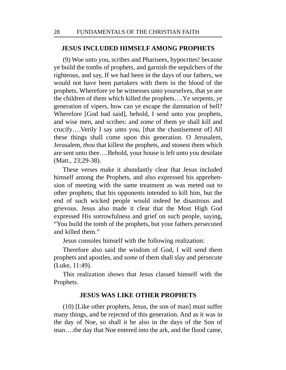### **JESUS INCLUDED HIMSELF AMONG PROPHETS**

(9) Woe unto you, scribes and Pharisees, hypocrites! because ye build the tombs of prophets, and garnish the sepulchers of the righteous, and say, If we had been in the days of our fathers, we would not have been partakers with them in the blood of the prophets. Wherefore ye be witnesses unto yourselves, that ye are the children of them which killed the prophets….Y*e* serpents, *ye* generation of vipers, how can ye escape the damnation of hell? Wherefore [God had said], behold, I send unto you prophets, and wise men, and scribes: and *some* of them ye shall kill and crucify….Verily I say unto you, [that the chastisement of] All these things shall come upon this generation. O Jerusalem, Jerusalem, *thou* that killest the prophets, and stonest them which are sent unto thee….Behold, your house is left unto you desolate (Matt., 23;29-38).

These verses make it abundantly clear that Jesus included himself among the Prophets, and also expressed his apprehension of meeting with the same treatment as was meted out to other prophets; that his opponents intended to kill him, but the end of such wicked people would indeed be disastrous and grievous. Jesus also made it clear that the Most High God expressed His sorrowfulness and grief on such people, saying, "You build the tomb of the prophets, but your fathers persecuted and killed them."

Jesus consoles himself with the following realization:

Therefore also said the wisdom of God, I will send them prophets and apostles, and *some* of them shall slay and persecute (Luke, 11:49).

This realization shows that Jesus classed himself with the Prophets.

#### **JESUS WAS LIKE OTHER PROPHETS**

(10) [Like other prophets, Jesus, the son of man] must suffer many things, and be rejected of this generation. And as it was in the day of Noe, so shall it be also in the days of the Son of man….the day that Noe entered into the ark, and the flood came,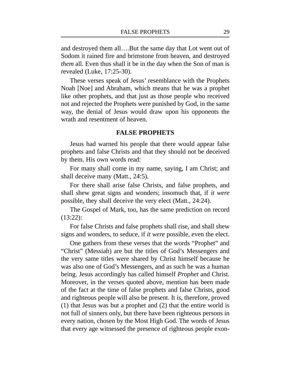and destroyed them all….But the same day that Lot went out of Sodom it rained fire and brimstone from heaven, and destroyed *them* all. Even thus shall it be in the day when the Son of man is revealed (Luke, 17:25-30).

These verses speak of Jesus' resemblance with the Prophets Noah [Noe] and Abraham, which means that he was a prophet like other prophets, and that just as those people who received not and rejected the Prophets were punished by God, in the same way, the denial of Jesus would draw upon his opponents the wrath and resentment of heaven.

#### **FALSE PROPHETS**

Jesus had warned his people that there would appear false prophets and false Christs and that they should not be deceived by them. His own words read:

For many shall come in my name, saying, I am Christ; and shall deceive many (Matt., 24:5).

For there shall arise false Christs, and false prophets, and shall shew great signs and wonders; insomuch that, if *it were* possible, they shall deceive the very elect (Matt., 24:24).

The Gospel of Mark, too, has the same prediction on record (13:22):

For false Christs and false prophets shall rise, and shall shew signs and wonders, to seduce, if *it were* possible, even the elect.

One gathers from these verses that the words "Prophet" and "Christ" (Messiah) are but the titles of God's Messengers and the very same titles were shared by Christ himself because he was also one of God's Messengers, and as such he was a human being. Jesus accordingly has called himself *Prophet* and Christ. Moreover, in the verses quoted above, mention has been made of the fact at the time of false prophets and false Christs, good and righteous people will also be present. It is, therefore, proved (1) that Jesus was but a prophet and (2) that the entire world is not full of sinners only, but there have been righteous persons in every nation, chosen by the Most High God. The words of Jesus that every age witnessed the presence of righteous people exon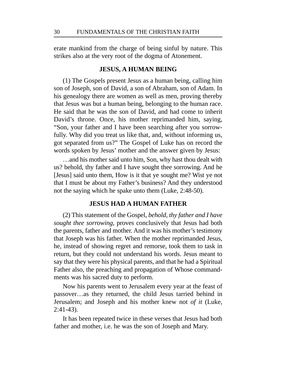erate mankind from the charge of being sinful by nature. This strikes also at the very root of the dogma of Atonement.

#### **JESUS, A HUMAN BEING**

(1) The Gospels present Jesus as a human being, calling him son of Joseph, son of David, a son of Abraham, son of Adam. In his genealogy there are women as well as men, proving thereby that Jesus was but a human being, belonging to the human race. He said that he was the son of David, and had come to inherit David's throne. Once, his mother reprimanded him, saying, "Son, your father and I have been searching after you sorrowfully. Why did you treat us like that, and, without informing us, got separated from us?" The Gospel of Luke has on record the words spoken by Jesus' mother and the answer given by Jesus:

…and his mother said unto him, Son, why hast thou dealt with us? behold, thy father and I have sought thee sorrowing. And he [Jesus] said unto them, How is it that ye sought me? Wist ye not that I must be about my Father's business? And they understood not the saying which he spake unto them (Luke, 2:48-50).

### **JESUS HAD A HUMAN FATHER**

(2) This statement of the Gospel, *behold, thy father and I have sought thee sorrowing*, proves conclusively that Jesus had both the parents, father and mother. And it was his mother's testimony that Joseph was his father. When the mother reprimanded Jesus, he, instead of showing regret and remorse, took them to task in return, but they could not understand his words. Jesus meant to say that they were his physical parents, and that he had a Spiritual Father also, the preaching and propagation of Whose commandments was his sacred duty to perform.

Now his parents went to Jerusalem every year at the feast of passover…as they returned, the child Jesus tarried behind in Jerusalem; and Joseph and his mother knew not *of it* (Luke, 2:41-43).

It has been repeated twice in these verses that Jesus had both father and mother, i.e. he was the son of Joseph and Mary.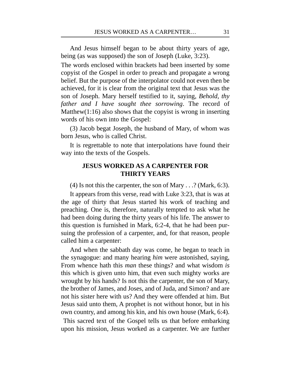And Jesus himself began to be about thirty years of age, being (as was supposed) the son of Joseph (Luke, 3:23).

The words enclosed within brackets had been inserted by some copyist of the Gospel in order to preach and propagate a wrong belief. But the purpose of the interpolator could not even then be achieved, for it is clear from the original text that Jesus was the son of Joseph. Mary herself testified to it, saying, *Behold, thy father and I have sought thee sorrowing*. The record of Matthew(1:16) also shows that the copyist is wrong in inserting words of his own into the Gospel:

(3) Jacob begat Joseph, the husband of Mary, of whom was born Jesus, who is called Christ.

It is regrettable to note that interpolations have found their way into the texts of the Gospels.

# **JESUS WORKED AS A CARPENTER FOR THIRTY YEARS**

(4) Is not this the carpenter, the son of Mary . . .? (Mark, 6:3).

It appears from this verse, read with Luke 3:23, that is was at the age of thirty that Jesus started his work of teaching and preaching. One is, therefore, naturally tempted to ask what he had been doing during the thirty years of his life. The answer to this question is furnished in Mark, 6:2-4, that he had been pursuing the profession of a carpenter, and, for that reason, people called him a carpenter:

And when the sabbath day was come, he began to teach in the synagogue: and many hearing *him* were astonished, saying, From whence hath this *man* these things? and what wisdom *is* this which is given unto him, that even such mighty works are wrought by his hands? Is not this the carpenter, the son of Mary, the brother of James, and Joses, and of Juda, and Simon? and are not his sister here with us? And they were offended at him. But Jesus said unto them, A prophet is not without honor, but in his own country, and among his kin, and his own house (Mark, 6:4).

This sacred text of the Gospel tells us that before embarking upon his mission, Jesus worked as a carpenter. We are further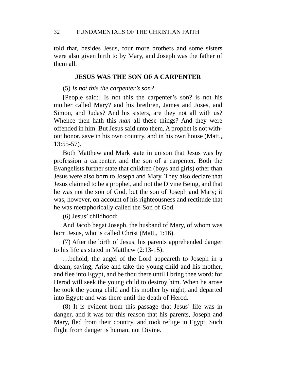told that, besides Jesus, four more brothers and some sisters were also given birth to by Mary, and Joseph was the father of them all.

## **JESUS WAS THE SON OF A CARPENTER**

(5) *Is not this the carpenter's son?*

[People said:] Is not this the carpenter's son? is not his mother called Mary? and his brethren, James and Joses, and Simon, and Judas? And his sisters, are they not all with us? Whence then hath this *man* all these things? And they were offended in him. But Jesus said unto them, A prophet is not without honor, save in his own country, and in his own house (Matt., 13:55-57).

Both Matthew and Mark state in unison that Jesus was by profession a carpenter, and the son of a carpenter. Both the Evangelists further state that children (boys and girls) other than Jesus were also born to Joseph and Mary. They also declare that Jesus claimed to be a prophet, and not the Divine Being, and that he was not the son of God, but the son of Joseph and Mary; it was, however, on account of his righteousness and rectitude that he was metaphorically called the Son of God.

(6) Jesus' childhood:

And Jacob begat Joseph, the husband of Mary, of whom was born Jesus, who is called Christ (Matt., 1:16).

(7) After the birth of Jesus, his parents apprehended danger to his life as stated in Matthew (2:13-15):

…behold, the angel of the Lord appeareth to Joseph in a dream, saying, Arise and take the young child and his mother, and flee into Egypt, and be thou there until I bring thee word: for Herod will seek the young child to destroy him. When he arose he took the young child and his mother by night, and departed into Egypt: and was there until the death of Herod.

(8) It is evident from this passage that Jesus' life was in danger, and it was for this reason that his parents, Joseph and Mary, fled from their country, and took refuge in Egypt. Such flight from danger is human, not Divine.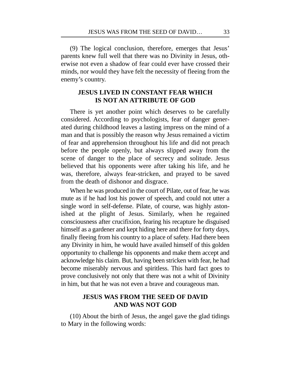(9) The logical conclusion, therefore, emerges that Jesus' parents knew full well that there was no Divinity in Jesus, otherwise not even a shadow of fear could ever have crossed their minds, nor would they have felt the necessity of fleeing from the enemy's country.

# **JESUS LIVED IN CONSTANT FEAR WHICH IS NOT AN ATTRIBUTE OF GOD**

There is yet another point which deserves to be carefully considered. According to psychologists, fear of danger generated during childhood leaves a lasting impress on the mind of a man and that is possibly the reason why Jesus remained a victim of fear and apprehension throughout his life and did not preach before the people openly, but always slipped away from the scene of danger to the place of secrecy and solitude. Jesus believed that his opponents were after taking his life, and he was, therefore, always fear-stricken, and prayed to be saved from the death of dishonor and disgrace.

When he was produced in the court of Pilate, out of fear, he was mute as if he had lost his power of speech, and could not utter a single word in self-defense. Pilate, of course, was highly astonished at the plight of Jesus. Similarly, when he regained consciousness after crucifixion, fearing his recapture he disguised himself as a gardener and kept hiding here and there for forty days, finally fleeing from his country to a place of safety. Had there been any Divinity in him, he would have availed himself of this golden opportunity to challenge his opponents and make them accept and acknowledge his claim. But, having been stricken with fear, he had become miserably nervous and spiritless. This hard fact goes to prove conclusively not only that there was not a whit of Divinity in him, but that he was not even a brave and courageous man.

# **JESUS WAS FROM THE SEED OF DAVID AND WAS NOT GOD**

(10) About the birth of Jesus, the angel gave the glad tidings to Mary in the following words: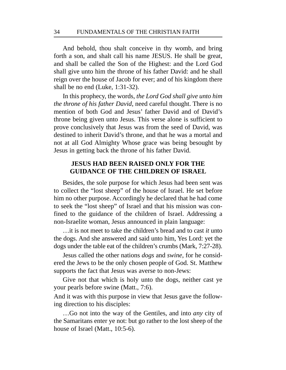And behold, thou shalt conceive in thy womb, and bring forth a son, and shalt call his name JESUS. He shall be great, and shall be called the Son of the Highest: and the Lord God shall give unto him the throne of his father David: and he shall reign over the house of Jacob for ever; and of his kingdom there shall be no end (Luke, 1:31-32).

In this prophecy, the words, *the Lord God shall give unto him the throne of his father David*, need careful thought. There is no mention of both God and Jesus' father David and of David's throne being given unto Jesus. This verse alone is sufficient to prove conclusively that Jesus was from the seed of David, was destined to inherit David's throne, and that he was a mortal and not at all God Almighty Whose grace was being besought by Jesus in getting back the throne of his father David.

# **JESUS HAD BEEN RAISED ONLY FOR THE GUIDANCE OF THE CHILDREN OF ISRAEL**

Besides, the sole purpose for which Jesus had been sent was to collect the "lost sheep" of the house of Israel. He set before him no other purpose. Accordingly he declared that he had come to seek the "lost sheep" of Israel and that his mission was confined to the guidance of the children of Israel. Addressing a non-Israelite woman, Jesus announced in plain language:

…it is not meet to take the children's bread and to cast *it* unto the dogs. And she answered and said unto him, Yes Lord: yet the dogs under the table eat of the children's crumbs (Mark, 7:27-28).

Jesus called the other nations *dogs* and *swine*, for he considered the Jews to be the only chosen people of God. St. Matthew supports the fact that Jesus was averse to non-Jews:

Give not that which is holy unto the dogs, neither cast ye your pearls before swine (Matt., 7:6).

And it was with this purpose in view that Jesus gave the following direction to his disciples:

…Go not into the way of the Gentiles, and into *any* city of the Samaritans enter ye not: but go rather to the lost sheep of the house of Israel (Matt., 10:5-6).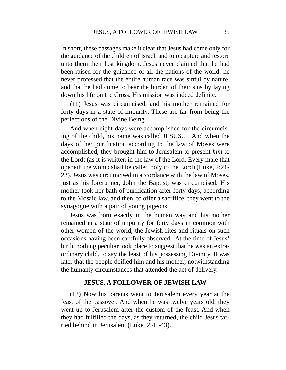In short, these passages make it clear that Jesus had come only for the guidance of the children of Israel, and to recapture and restore unto them their lost kingdom. Jesus never claimed that he had been raised for the guidance of all the nations of the world; he never professed that the entire human race was sinful by nature, and that he had come to bear the burden of their sins by laying down his life on the Cross. His mission was indeed definite.

(11) Jesus was circumcised, and his mother remained for forty days in a state of impurity. These are far from being the perfections of the Divine Being.

And when eight days were accomplished for the circumcising of the child, his name was called JESUS…. And when the days of her purification according to the law of Moses were accomplished, they brought him to Jerusalem to present *him* to the Lord; (as it is written in the law of the Lord, Every male that openeth the womb shall be called holy to the Lord) (Luke, 2:21- 23). Jesus was circumcised in accordance with the law of Moses, just as his forerunner, John the Baptist, was circumcised. His mother took her bath of purification after forty days, according to the Mosaic law, and then, to offer a sacrifice, they went to the synagogue with a pair of young pigeons.

Jesus was born exactly in the human way and his mother remained in a state of impurity for forty days in common with other women of the world, the Jewish rites and rituals on such occasions having been carefully observed. At the time of Jesus' birth, nothing peculiar took place to suggest that he was an extraordinary child, to say the least of his possessing Divinity. It was later that the people deified him and his mother, notwithstanding the humanly circumstances that attended the act of delivery.

## **JESUS, A FOLLOWER OF JEWISH LAW**

(12) Now his parents went to Jerusalem every year at the feast of the passover. And when he was twelve years old, they went up to Jerusalem after the custom of the feast. And when they had fulfilled the days, as they returned, the child Jesus tarried behind in Jerusalem (Luke, 2:41-43).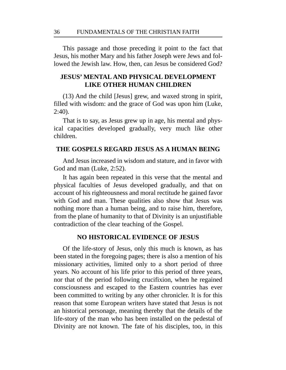This passage and those preceding it point to the fact that Jesus, his mother Mary and his father Joseph were Jews and followed the Jewish law. How, then, can Jesus be considered God?

# **JESUS' MENTAL AND PHYSICAL DEVELOPMENT LIKE OTHER HUMAN CHILDREN**

(13) And the child [Jesus] grew, and waxed strong in spirit, filled with wisdom: and the grace of God was upon him (Luke, 2:40).

That is to say, as Jesus grew up in age, his mental and physical capacities developed gradually, very much like other children.

## **THE GOSPELS REGARD JESUS AS A HUMAN BEING**

And Jesus increased in wisdom and stature, and in favor with God and man (Luke, 2:52).

It has again been repeated in this verse that the mental and physical faculties of Jesus developed gradually, and that on account of his righteousness and moral rectitude he gained favor with God and man. These qualities also show that Jesus was nothing more than a human being, and to raise him, therefore, from the plane of humanity to that of Divinity is an unjustifiable contradiction of the clear teaching of the Gospel.

## **NO HISTORICAL EVIDENCE OF JESUS**

Of the life-story of Jesus, only this much is known, as has been stated in the foregoing pages; there is also a mention of his missionary activities, limited only to a short period of three years. No account of his life prior to this period of three years, nor that of the period following crucifixion, when he regained consciousness and escaped to the Eastern countries has ever been committed to writing by any other chronicler. It is for this reason that some European writers have stated that Jesus is not an historical personage, meaning thereby that the details of the life-story of the man who has been installed on the pedestal of Divinity are not known. The fate of his disciples, too, in this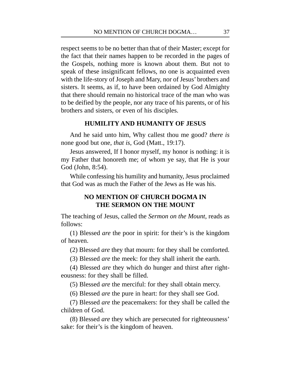respect seems to be no better than that of their Master; except for the fact that their names happen to be recorded in the pages of the Gospels, nothing more is known about them. But not to speak of these insignificant fellows, no one is acquainted even with the life-story of Joseph and Mary, nor of Jesus' brothers and sisters. It seems, as if, to have been ordained by God Almighty that there should remain no historical trace of the man who was to be deified by the people, nor any trace of his parents, or of his brothers and sisters, or even of his disciples.

## **HUMILITY AND HUMANITY OF JESUS**

And he said unto him, Why callest thou me good? *there is* none good but one, *that is*, God (Matt., 19:17).

Jesus answered, If I honor myself, my honor is nothing: it is my Father that honoreth me; of whom ye say, that He is your God (John, 8:54).

While confessing his humility and humanity, Jesus proclaimed that God was as much the Father of the Jews as He was his.

# **NO MENTION OF CHURCH DOGMA IN THE SERMON ON THE MOUNT**

The teaching of Jesus, called the *Sermon on the Mount*, reads as follows:

(1) Blessed *are* the poor in spirit: for their's is the kingdom of heaven.

(2) Blessed *are* they that mourn: for they shall be comforted.

(3) Blessed *are* the meek: for they shall inherit the earth.

(4) Blessed *are* they which do hunger and thirst after righteousness: for they shall be filled.

(5) Blessed *are* the merciful: for they shall obtain mercy.

(6) Blessed *are* the pure in heart: for they shall see God.

(7) Blessed *are* the peacemakers: for they shall be called the children of God.

(8) Blessed *are* they which are persecuted for righteousness' sake: for their's is the kingdom of heaven.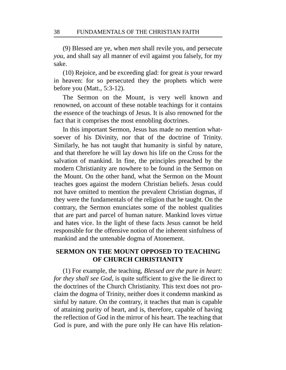(9) Blessed are ye, when *men* shall revile you, and persecute *you*, and shall say all manner of evil against you falsely, for my sake.

(10) Rejoice, and be exceeding glad: for great *is* your reward in heaven: for so persecuted they the prophets which were before you (Matt., 5:3-12).

The Sermon on the Mount, is very well known and renowned, on account of these notable teachings for it contains the essence of the teachings of Jesus. It is also renowned for the fact that it comprises the most ennobling doctrines.

In this important Sermon, Jesus has made no mention whatsoever of his Divinity, nor that of the doctrine of Trinity. Similarly, he has not taught that humanity is sinful by nature, and that therefore he will lay down his life on the Cross for the salvation of mankind. In fine, the principles preached by the modern Christianity are nowhere to be found in the Sermon on the Mount. On the other hand, what the Sermon on the Mount teaches goes against the modern Christian beliefs. Jesus could not have omitted to mention the prevalent Christian dogmas, if they were the fundamentals of the religion that he taught. On the contrary, the Sermon enunciates some of the noblest qualities that are part and parcel of human nature. Mankind loves virtue and hates vice. In the light of these facts Jesus cannot be held responsible for the offensive notion of the inherent sinfulness of mankind and the untenable dogma of Atonement.

# **SERMON ON THE MOUNT OPPOSED TO TEACHING OF CHURCH CHRISTIANITY**

(1) For example, the teaching, *Blessed are the pure in heart: for they shall see God*, is quite sufficient to give the lie direct to the doctrines of the Church Christianity. This text does not proclaim the dogma of Trinity, neither does it condemn mankind as sinful by nature. On the contrary, it teaches that man is capable of attaining purity of heart, and is, therefore, capable of having the reflection of God in the mirror of his heart. The teaching that God is pure, and with the pure only He can have His relation-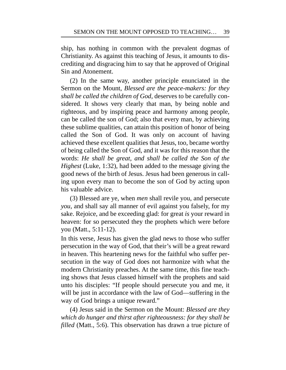ship, has nothing in common with the prevalent dogmas of Christianity. As against this teaching of Jesus, it amounts to discrediting and disgracing him to say that he approved of Original Sin and Atonement.

(2) In the same way, another principle enunciated in the Sermon on the Mount, *Blessed are the peace-makers: for they shall be called the children of God*, deserves to be carefully considered. It shows very clearly that man, by being noble and righteous, and by inspiring peace and harmony among people, can be called the son of God; also that every man, by achieving these sublime qualities, can attain this position of honor of being called the Son of God. It was only on account of having achieved these excellent qualities that Jesus, too, became worthy of being called the Son of God, and it was for this reason that the words: *He shall be great, and shall be called the Son of the Highest* (Luke, 1:32), had been added to the message giving the good news of the birth of Jesus. Jesus had been generous in calling upon every man to become the son of God by acting upon his valuable advice.

(3) Blessed are ye, when *men* shall revile you, and persecute *you*, and shall say all manner of evil against you falsely, for my sake. Rejoice, and be exceeding glad: for great *is* your reward in heaven: for so persecuted they the prophets which were before you (Matt., 5:11-12).

In this verse, Jesus has given the glad news to those who suffer persecution in the way of God, that their's will be a great reward in heaven. This heartening news for the faithful who suffer persecution in the way of God does not harmonize with what the modern Christianity preaches. At the same time, this fine teaching shows that Jesus classed himself with the prophets and said unto his disciples: "If people should persecute you and me, it will be just in accordance with the law of God—suffering in the way of God brings a unique reward."

(4) Jesus said in the Sermon on the Mount: *Blessed are they which do hunger and thirst after righteousness: for they shall be filled* (Matt., 5:6). This observation has drawn a true picture of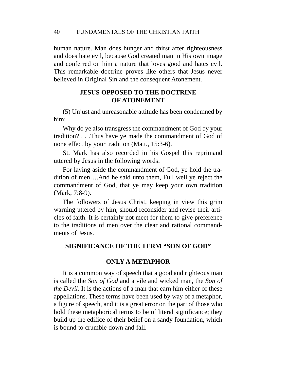human nature. Man does hunger and thirst after righteousness and does hate evil, because God created man in His own image and conferred on him a nature that loves good and hates evil. This remarkable doctrine proves like others that Jesus never believed in Original Sin and the consequent Atonement.

# **JESUS OPPOSED TO THE DOCTRINE OF ATONEMENT**

(5) Unjust and unreasonable attitude has been condemned by him:

Why do ye also transgress the commandment of God by your tradition? . . .Thus have ye made the commandment of God of none effect by your tradition (Matt., 15:3-6).

St. Mark has also recorded in his Gospel this reprimand uttered by Jesus in the following words:

For laying aside the commandment of God, ye hold the tradition of men….And he said unto them, Full well ye reject the commandment of God, that ye may keep your own tradition (Mark, 7:8-9).

The followers of Jesus Christ, keeping in view this grim warning uttered by him, should reconsider and revise their articles of faith. It is certainly not meet for them to give preference to the traditions of men over the clear and rational commandments of Jesus.

## **SIGNIFICANCE OF THE TERM "SON OF GOD"**

# **ONLY A METAPHOR**

It is a common way of speech that a good and righteous man is called the *Son of God* and a vile and wicked man, the *Son of the Devil*. It is the actions of a man that earn him either of these appellations. These terms have been used by way of a metaphor, a figure of speech, and it is a great error on the part of those who hold these metaphorical terms to be of literal significance; they build up the edifice of their belief on a sandy foundation, which is bound to crumble down and fall.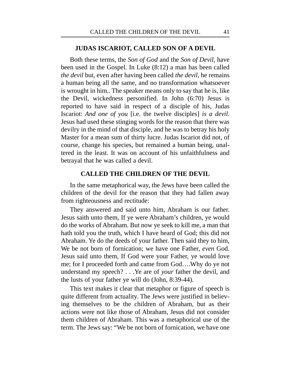### **JUDAS ISCARIOT, CALLED SON OF A DEVIL**

Both these terms, the *Son of God* and the *Son of Devil*, have been used in the Gospel. In Luke (8:12) a man has been called *the devil* but, even after having been called *the devil*, he remains a human being all the same, and no transformation whatsoever is wrought in him.. The speaker means only to say that he is, like the Devil, wickedness personified. In John (6:70) Jesus is reported to have said in respect of a disciple of his, Judas Iscariot: *And one of you* [i.e. the twelve disciples] *is a devil*. Jesus had used these stinging words for the reason that there was devilry in the mind of that disciple, and he was to betray his holy Master for a mean sum of thirty lucre. Judas Iscariot did not, of course, change his species, but remained a human being, unaltered in the least. It was on account of his unfaithfulness and betrayal that he was called a devil.

### **CALLED THE CHILDREN OF THE DEVIL**

In the same metaphorical way, the Jews have been called the children of the devil for the reason that they had fallen away from righteousness and rectitude:

They answered and said unto him, Abraham is our father. Jesus saith unto them, If ye were Abraham's children, ye would do the works of Abraham. But now ye seek to kill me, a man that hath told you the truth, which I have heard of God; this did not Abraham. Ye do the deeds of your father. Then said they to him, We be not born of fornication; we have one Father, *even* God. Jesus said unto them, If God were your Father, ye would love me; for I proceeded forth and came from God….Why do ye not understand my speech? . . .Ye are of *your* father the devil, and the lusts of your father ye will do (John, 8:39-44).

This text makes it clear that metaphor or figure of speech is quite different from actuality. The Jews were justified in believing themselves to be the children of Abraham, but as their actions were not like those of Abraham, Jesus did not consider them children of Abraham. This was a metaphorical use of the term. The Jews say: "We be not born of fornication, we have one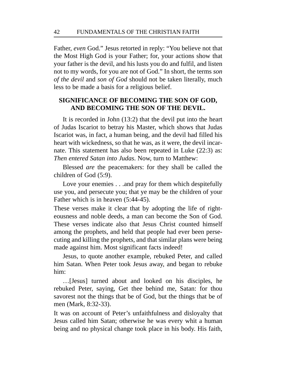Father, *even* God." Jesus retorted in reply: "You believe not that the Most High God is your Father; for, your actions show that your father is the devil, and his lusts you do and fulfil, and listen not to my words, for you are not of God." In short, the terms *son of the devil* and *son of God* should not be taken literally, much less to be made a basis for a religious belief.

# **SIGNIFICANCE OF BECOMING THE SON OF GOD, AND BECOMING THE SON OF THE DEVIL.**

It is recorded in John (13:2) that the devil put into the heart of Judas Iscariot to betray his Master, which shows that Judas Iscariot was, in fact, a human being, and the devil had filled his heart with wickedness, so that he was, as it were, the devil incarnate. This statement has also been repeated in Luke (22:3) as: *Then entered Satan into Judas*. Now, turn to Matthew:

Blessed *are* the peacemakers: for they shall be called the children of God (5:9).

Love your enemies . . .and pray for them which despitefully use you, and persecute you; that ye may be the children of your Father which is in heaven (5:44-45).

These verses make it clear that by adopting the life of righteousness and noble deeds, a man can become the Son of God. These verses indicate also that Jesus Christ counted himself among the prophets, and held that people had ever been persecuting and killing the prophets, and that similar plans were being made against him. Most significant facts indeed!

Jesus, to quote another example, rebuked Peter, and called him Satan. When Peter took Jesus away, and began to rebuke him:

…[Jesus] turned about and looked on his disciples, he rebuked Peter, saying, Get thee behind me, Satan: for thou savorest not the things that be of God, but the things that be of men (Mark, 8:32-33).

It was on account of Peter's unfaithfulness and disloyalty that Jesus called him Satan; otherwise he was every whit a human being and no physical change took place in his body. His faith,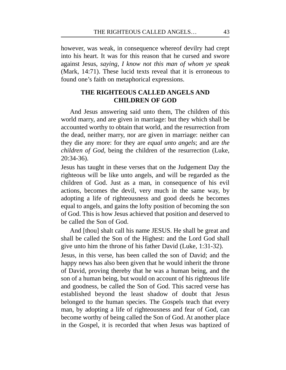however, was weak, in consequence whereof devilry had crept into his heart. It was for this reason that he cursed and swore against Jesus, *saying, I know not this man of whom ye speak* (Mark, 14:71). These lucid texts reveal that it is erroneous to found one's faith on metaphorical expressions.

# **THE RIGHTEOUS CALLED ANGELS AND CHILDREN OF GOD**

And Jesus answering said unto them, The children of this world marry, and are given in marriage: but they which shall be accounted worthy to obtain that world, and the resurrection from the dead, neither marry, nor are given in marriage: neither can they die any more: for they are *equal unto angels*; and are *the children of God*, being the children of the resurrection (Luke, 20:34-36).

Jesus has taught in these verses that on the Judgement Day the righteous will be like unto angels, and will be regarded as the children of God. Just as a man, in consequence of his evil actions, becomes the devil, very much in the same way, by adopting a life of righteousness and good deeds he becomes equal to angels, and gains the lofty position of becoming the son of God. This is how Jesus achieved that position and deserved to be called the Son of God.

And [thou] shalt call his name JESUS. He shall be great and shall be called the Son of the Highest: and the Lord God shall give unto him the throne of his father David (Luke, 1:31-32). Jesus, in this verse, has been called the son of David; and the happy news has also been given that he would inherit the throne of David, proving thereby that he was a human being, and the son of a human being, but would on account of his righteous life and goodness, be called the Son of God. This sacred verse has established beyond the least shadow of doubt that Jesus belonged to the human species. The Gospels teach that every man, by adopting a life of righteousness and fear of God, can become worthy of being called the Son of God. At another place in the Gospel, it is recorded that when Jesus was baptized of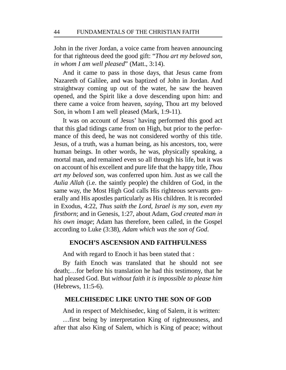John in the river Jordan, a voice came from heaven announcing for that righteous deed the good gift: "*Thou art my beloved son, in whom I am well pleased*" (Matt., 3:14).

And it came to pass in those days, that Jesus came from Nazareth of Galilee, and was baptized of John in Jordan. And straightway coming up out of the water, he saw the heaven opened, and the Spirit like a dove descending upon him: and there came a voice from heaven, *saying*, Thou art my beloved Son, in whom I am well pleased (Mark, 1:9-11).

It was on account of Jesus' having performed this good act that this glad tidings came from on High, but prior to the performance of this deed, he was not considered worthy of this title. Jesus, of a truth, was a human being, as his ancestors, too, were human beings. In other words, he was, physically speaking, a mortal man, and remained even so all through his life, but it was on account of his excellent and pure life that the happy title, *Thou art my beloved son*, was conferred upon him. Just as we call the *Aulia Allah* (i.e. the saintly people) the children of God, in the same way, the Most High God calls His righteous servants generally and His apostles particularly as His children. It is recorded in Exodus, 4:22, *Thus saith the Lord, Israel is my son, even my firstborn*; and in Genesis, 1:27, about Adam, *God created man in his own image*; Adam has therefore, been called, in the Gospel according to Luke (3:38), *Adam which was the son of God*.

## **ENOCH'S ASCENSION AND FAITHFULNESS**

And with regard to Enoch it has been stated that :

By faith Enoch was translated that he should not see death;…for before his translation he had this testimony, that he had pleased God. But *without faith it is impossible to please him* (Hebrews, 11:5-6).

## **MELCHISEDEC LIKE UNTO THE SON OF GOD**

And in respect of Melchisedec, king of Salem, it is written:

…first being by interpretation King of righteousness, and after that also King of Salem, which is King of peace; without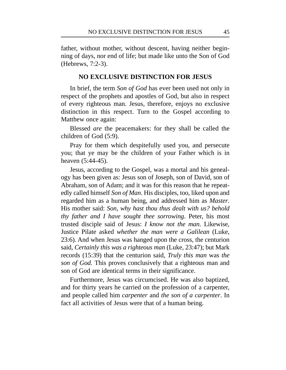father, without mother, without descent, having neither beginning of days, nor end of life; but made like unto the Son of God (Hebrews, 7:2-3).

## **NO EXCLUSIVE DISTINCTION FOR JESUS**

In brief, the term *Son of God* has ever been used not only in respect of the prophets and apostles of God, but also in respect of every righteous man. Jesus, therefore, enjoys no exclusive distinction in this respect. Turn to the Gospel according to Matthew once again:

Blessed *are* the peacemakers: for they shall be called the children of God (5:9).

Pray for them which despitefully used you, and persecute you; that ye may be the children of your Father which is in heaven (5:44-45).

Jesus, according to the Gospel, was a mortal and his genealogy has been given as: Jesus son of Joseph, son of David, son of Abraham, son of Adam; and it was for this reason that he repeatedly called himself *Son of Man*. His disciples, too, liked upon and regarded him as a human being, and addressed him as *Master*. His mother said: *Son, why hast thou thus dealt with us? behold thy father and I have sought thee sorrowing*. Peter, his most trusted disciple said of Jesus: *I know not the man*. Likewise, Justice Pilate asked *whether the man were a Galilean* (Luke, 23:6). And when Jesus was hanged upon the cross, the centurion said, *Certainly this was a righteous man* (Luke, 23:47); but Mark records (15:39) that the centurion said, *Truly this man* was *the son of God.* This proves conclusively that a righteous man and son of God are identical terms in their significance.

Furthermore, Jesus was circumcised. He was also baptized, and for thirty years he carried on the profession of a carpenter, and people called him *carpenter* and *the son of a carpenter*. In fact all activities of Jesus were that of a human being.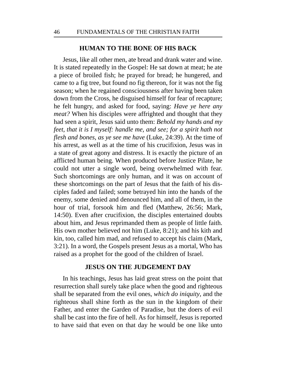### **HUMAN TO THE BONE OF HIS BACK**

Jesus, like all other men, ate bread and drank water and wine. It is stated repeatedly in the Gospel: He sat down at meat; he ate a piece of broiled fish; he prayed for bread; he hungered, and came to a fig tree, but found no fig thereon, for it was not the fig season; when he regained consciousness after having been taken down from the Cross, he disguised himself for fear of recapture; he felt hungry, and asked for food, saying: *Have ye here any meat?* When his disciples were affrighted and thought that they had seen a spirit, Jesus said unto them: *Behold my hands and my feet, that it is I myself: handle me, and see; for a spirit hath not flesh and bones, as ye see me have* (Luke, 24:39). At the time of his arrest, as well as at the time of his crucifixion, Jesus was in a state of great agony and distress. It is exactly the picture of an afflicted human being. When produced before Justice Pilate, he could not utter a single word, being overwhelmed with fear. Such shortcomings are only human, and it was on account of these shortcomings on the part of Jesus that the faith of his disciples faded and failed; some betrayed hin into the hands of the enemy, some denied and denounced him, and all of them, in the hour of trial, forsook him and fled (Matthew, 26:56; Mark, 14:50). Even after crucifixion, the disciples entertained doubts about him, and Jesus reprimanded them as people of little faith. His own mother believed not him (Luke, 8:21); and his kith and kin, too, called him mad, and refused to accept his claim (Mark, 3:21). In a word, the Gospels present Jesus as a mortal, Who has raised as a prophet for the good of the children of Israel.

#### **JESUS ON THE JUDGEMENT DAY**

In his teachings, Jesus has laid great stress on the point that resurrection shall surely take place when the good and righteous shall be separated from the evil ones, *which do iniquity*, and the righteous shall shine forth as the sun in the kingdom of their Father, and enter the Garden of Paradise, but the doers of evil shall be cast into the fire of hell. As for himself, Jesus is reported to have said that even on that day he would be one like unto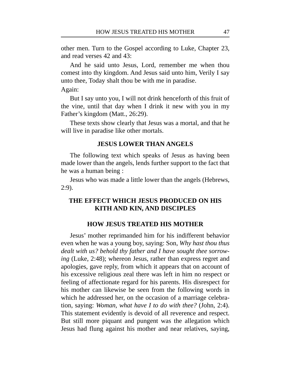other men. Turn to the Gospel according to Luke, Chapter 23, and read verses 42 and 43:

And he said unto Jesus, Lord, remember me when thou comest into thy kingdom. And Jesus said unto him, Verily I say unto thee, Today shalt thou be with me in paradise.

Again:

But I say unto you, I will not drink henceforth of this fruit of the vine, until that day when I drink it new with you in my Father's kingdom (Matt., 26:29).

These texts show clearly that Jesus was a mortal, and that he will live in paradise like other mortals.

### **JESUS LOWER THAN ANGELS**

The following text which speaks of Jesus as having been made lower than the angels, lends further support to the fact that he was a human being :

Jesus who was made a little lower than the angels (Hebrews, 2:9).

# **THE EFFECT WHICH JESUS PRODUCED ON HIS KITH AND KIN, AND DISCIPLES**

### **HOW JESUS TREATED HIS MOTHER**

Jesus' mother reprimanded him for his indifferent behavior even when he was a young boy, saying: Son, *Why hast thou thus dealt with us? behold thy father and I have sought thee sorrowing* (Luke, 2:48); whereon Jesus, rather than express regret and apologies, gave reply, from which it appears that on account of his excessive religious zeal there was left in him no respect or feeling of affectionate regard for his parents. His disrespect for his mother can likewise be seen from the following words in which he addressed her, on the occasion of a marriage celebration, saying: *Woman, what have I to do with thee?* (John, 2:4). This statement evidently is devoid of all reverence and respect. But still more piquant and pungent was the allegation which Jesus had flung against his mother and near relatives, saying,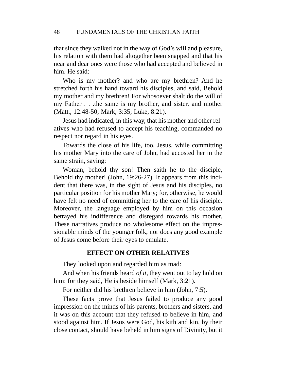that since they walked not in the way of God's will and pleasure, his relation with them had altogether been snapped and that his near and dear ones were those who had accepted and believed in him. He said:

Who is my mother? and who are my brethren? And he stretched forth his hand toward his disciples, and said, Behold my mother and my brethren! For whosoever shalt do the will of my Father . . .the same is my brother, and sister, and mother (Matt., 12:48-50; Mark, 3:35; Luke, 8:21).

Jesus had indicated, in this way, that his mother and other relatives who had refused to accept his teaching, commanded no respect nor regard in his eyes.

Towards the close of his life, too, Jesus, while committing his mother Mary into the care of John, had accosted her in the same strain, saying:

Woman, behold thy son! Then saith he to the disciple, Behold thy mother! (John, 19:26-27). It appears from this incident that there was, in the sight of Jesus and his disciples, no particular position for his mother Mary; for, otherwise, he would have felt no need of committing her to the care of his disciple. Moreover, the language employed by him on this occasion betrayed his indifference and disregard towards his mother. These narratives produce no wholesome effect on the impressionable minds of the younger folk, nor does any good example of Jesus come before their eyes to emulate.

## **EFFECT ON OTHER RELATIVES**

They looked upon and regarded him as mad:

And when his friends heard *of it*, they went out to lay hold on him: for they said, He is beside himself (Mark, 3:21).

For neither did his brethren believe in him (John, 7:5).

These facts prove that Jesus failed to produce any good impression on the minds of his parents, brothers and sisters, and it was on this account that they refused to believe in him, and stood against him. If Jesus were God, his kith and kin, by their close contact, should have beheld in him signs of Divinity, but it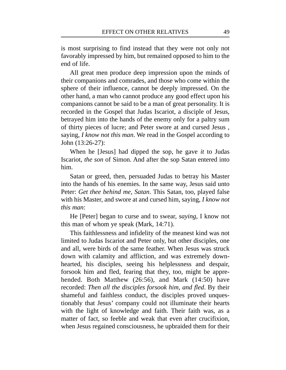is most surprising to find instead that they were not only not favorably impressed by him, but remained opposed to him to the end of life.

All great men produce deep impression upon the minds of their companions and comrades, and those who come within the sphere of their influence, cannot be deeply impressed. On the other hand, a man who cannot produce any good effect upon his companions cannot be said to be a man of great personality. It is recorded in the Gospel that Judas Iscariot, a disciple of Jesus, betrayed him into the hands of the enemy only for a paltry sum of thirty pieces of lucre; and Peter swore at and cursed Jesus , saying, *I know not this man*. We read in the Gospel according to John (13:26-27):

When he [Jesus] had dipped the sop, he gave *it* to Judas Iscariot, *the son* of Simon. And after the sop Satan entered into him.

Satan or greed, then, persuaded Judas to betray his Master into the hands of his enemies. In the same way, Jesus said unto Peter: *Get thee behind me, Satan*. This Satan, too, played false with his Master, and swore at and cursed him, saying, *I know not this man*:

He [Peter] began to curse and to swear, *saying*, I know not this man of whom ye speak (Mark, 14:71).

This faithlessness and infidelity of the meanest kind was not limited to Judas Iscariot and Peter only, but other disciples, one and all, were birds of the same feather. When Jesus was struck down with calamity and affliction, and was extremely downhearted, his disciples, seeing his helplessness and despair, forsook him and fled, fearing that they, too, might be apprehended. Both Matthew (26:56), and Mark (14:50) have recorded: *Then all the disciples forsook him, and fled*. By their shameful and faithless conduct, the disciples proved unquestionably that Jesus' company could not illuminate their hearts with the light of knowledge and faith. Their faith was, as a matter of fact, so feeble and weak that even after crucifixion, when Jesus regained consciousness, he upbraided them for their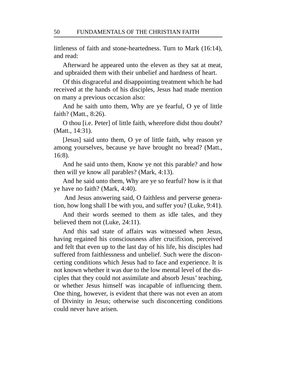littleness of faith and stone-heartedness. Turn to Mark (16:14), and read:

Afterward he appeared unto the eleven as they sat at meat, and upbraided them with their unbelief and hardness of heart.

Of this disgraceful and disappointing treatment which he had received at the hands of his disciples, Jesus had made mention on many a previous occasion also:

And he saith unto them, Why are ye fearful, O ye of little faith? (Matt., 8:26).

O thou [i.e. Peter] of little faith, wherefore didst thou doubt? (Matt., 14:31).

[Jesus] said unto them, O ye of little faith, why reason ye among yourselves, because ye have brought no bread? (Matt., 16:8).

And he said unto them, Know ye not this parable? and how then will ye know all parables? (Mark, 4:13).

And he said unto them, Why are ye so fearful? how is it that ye have no faith? (Mark, 4:40).

And Jesus answering said, O faithless and perverse generation, how long shall I be with you, and suffer you? (Luke, 9:41).

And their words seemed to them as idle tales, and they believed them not (Luke, 24:11).

And this sad state of affairs was witnessed when Jesus, having regained his consciousness after crucifixion, perceived and felt that even up to the last day of his life, his disciples had suffered from faithlessness and unbelief. Such were the disconcerting conditions which Jesus had to face and experience. It is not known whether it was due to the low mental level of the disciples that they could not assimilate and absorb Jesus' teaching, or whether Jesus himself was incapable of influencing them. One thing, however, is evident that there was not even an atom of Divinity in Jesus; otherwise such disconcerting conditions could never have arisen.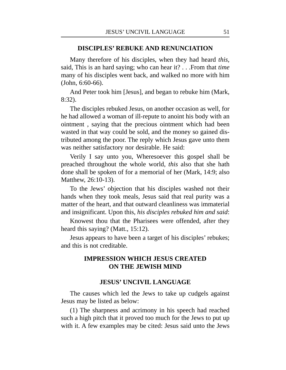#### **DISCIPLES' REBUKE AND RENUNCIATION**

Many therefore of his disciples, when they had heard *this*, said, This is an hard saying; who can hear it? . . .From that *time* many of his disciples went back, and walked no more with him (John, 6:60-66).

And Peter took him [Jesus], and began to rebuke him (Mark, 8:32).

The disciples rebuked Jesus, on another occasion as well, for he had allowed a woman of ill-repute to anoint his body with an ointment , saying that the precious ointment which had been wasted in that way could be sold, and the money so gained distributed among the poor. The reply which Jesus gave unto them was neither satisfactory nor desirable. He said:

Verily I say unto you, Wheresoever this gospel shall be preached throughout the whole world, *this* also that she hath done shall be spoken of for a memorial of her (Mark, 14:9; also Matthew, 26:10-13).

To the Jews' objection that his disciples washed not their hands when they took meals, Jesus said that real purity was a matter of the heart, and that outward cleanliness was immaterial and insignificant. Upon this, *his disciples rebuked him and said*:

Knowest thou that the Pharisees were offended, after they heard this saying? (Matt., 15:12).

Jesus appears to have been a target of his disciples' rebukes; and this is not creditable.

# **IMPRESSION WHICH JESUS CREATED ON THE JEWISH MIND**

#### **JESUS' UNCIVIL LANGUAGE**

The causes which led the Jews to take up cudgels against Jesus may be listed as below:

(1) The sharpness and acrimony in his speech had reached such a high pitch that it proved too much for the Jews to put up with it. A few examples may be cited: Jesus said unto the Jews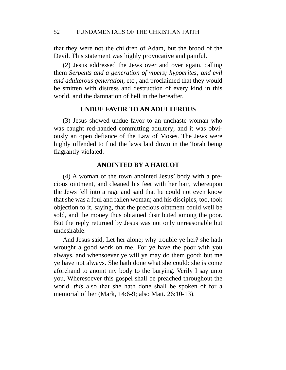that they were not the children of Adam, but the brood of the Devil. This statement was highly provocative and painful.

(2) Jesus addressed the Jews over and over again, calling them *Serpents and a generation of vipers; hypocrites; and evil and adulterous generation*, etc., and proclaimed that they would be smitten with distress and destruction of every kind in this world, and the damnation of hell in the hereafter.

### **UNDUE FAVOR TO AN ADULTEROUS**

(3) Jesus showed undue favor to an unchaste woman who was caught red-handed committing adultery; and it was obviously an open defiance of the Law of Moses. The Jews were highly offended to find the laws laid down in the Torah being flagrantly violated.

## **ANOINTED BY A HARLOT**

(4) A woman of the town anointed Jesus' body with a precious ointment, and cleaned his feet with her hair, whereupon the Jews fell into a rage and said that he could not even know that she was a foul and fallen woman; and his disciples, too, took objection to it, saying, that the precious ointment could well be sold, and the money thus obtained distributed among the poor. But the reply returned by Jesus was not only unreasonable but undesirable:

And Jesus said, Let her alone; why trouble ye her? she hath wrought a good work on me. For ye have the poor with you always, and whensoever ye will ye may do them good: but me ye have not always. She hath done what she could: she is come aforehand to anoint my body to the burying. Verily I say unto you, Wheresoever this gospel shall be preached throughout the world, *this* also that she hath done shall be spoken of for a memorial of her (Mark, 14:6-9; also Matt. 26:10-13).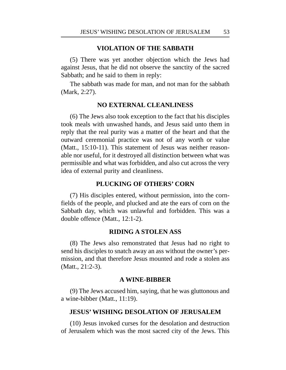## **VIOLATION OF THE SABBATH**

(5) There was yet another objection which the Jews had against Jesus, that he did not observe the sanctity of the sacred Sabbath; and he said to them in reply:

The sabbath was made for man, and not man for the sabbath (Mark, 2:27).

## **NO EXTERNAL CLEANLINESS**

(6) The Jews also took exception to the fact that his disciples took meals with unwashed hands, and Jesus said unto them in reply that the real purity was a matter of the heart and that the outward ceremonial practice was not of any worth or value (Matt., 15:10-11). This statement of Jesus was neither reasonable nor useful, for it destroyed all distinction between what was permissible and what was forbidden, and also cut across the very idea of external purity and cleanliness.

## **PLUCKING OF OTHERS' CORN**

(7) His disciples entered, without permission, into the cornfields of the people, and plucked and ate the ears of corn on the Sabbath day, which was unlawful and forbidden. This was a double offence (Matt., 12:1-2).

## **RIDING A STOLEN ASS**

(8) The Jews also remonstrated that Jesus had no right to send his disciples to snatch away an ass without the owner's permission, and that therefore Jesus mounted and rode a stolen ass (Matt., 21:2-3).

### **A WINE-BIBBER**

(9) The Jews accused him, saying, that he was gluttonous and a wine-bibber (Matt., 11:19).

## **JESUS' WISHING DESOLATION OF JERUSALEM**

(10) Jesus invoked curses for the desolation and destruction of Jerusalem which was the most sacred city of the Jews. This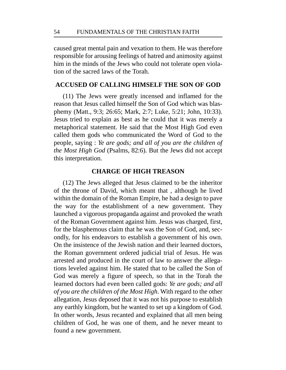caused great mental pain and vexation to them. He was therefore responsible for arousing feelings of hatred and animosity against him in the minds of the Jews who could not tolerate open violation of the sacred laws of the Torah.

## **ACCUSED OF CALLING HIMSELF THE SON OF GOD**

(11) The Jews were greatly incensed and inflamed for the reason that Jesus called himself the Son of God which was blasphemy (Matt., 9:3; 26:65; Mark, 2:7; Luke, 5:21; John, 10:33). Jesus tried to explain as best as he could that it was merely a metaphorical statement. He said that the Most High God even called them gods who communicated the Word of God to the people, saying : *Ye are gods; and all of you are the children of the Most High God* (Psalms, 82:6). But the Jews did not accept this interpretation.

## **CHARGE OF HIGH TREASON**

(12) The Jews alleged that Jesus claimed to be the inheritor of the throne of David, which meant that , although he lived within the domain of the Roman Empire, he had a design to pave the way for the establishment of a new government. They launched a vigorous propaganda against and provoked the wrath of the Roman Government against him. Jesus was charged, first, for the blasphemous claim that he was the Son of God, and, secondly, for his endeavors to establish a government of his own. On the insistence of the Jewish nation and their learned doctors, the Roman government ordered judicial trial of Jesus. He was arrested and produced in the court of law to answer the allegations leveled against him. He stated that to be called the Son of God was merely a figure of speech, so that in the Torah the learned doctors had even been called gods: *Ye are gods; and all of you are the children of the Most High*. With regard to the other allegation, Jesus deposed that it was not his purpose to establish any earthly kingdom, but he wanted to set up a kingdom of God. In other words, Jesus recanted and explained that all men being children of God, he was one of them, and he never meant to found a new government.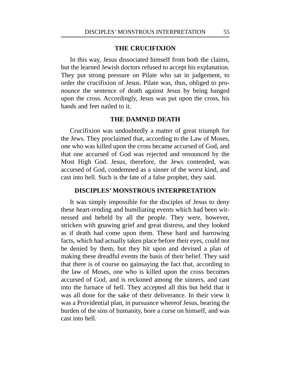# **THE CRUCIFIXION**

In this way, Jesus dissociated himself from both the claims, but the learned Jewish doctors refused to accept his explanation. They put strong pressure on Pilate who sat in judgement, to order the crucifixion of Jesus. Pilate was, thus, obliged to pronounce the sentence of death against Jesus by being hanged upon the cross. Accordingly, Jesus was put upon the cross, his hands and feet nailed to it.

### **THE DAMNED DEATH**

Crucifixion was undoubtedly a matter of great triumph for the Jews. They proclaimed that, according to the Law of Moses, one who was killed upon the cross became accursed of God, and that one accursed of God was rejected and renounced by the Most High God. Jesus, therefore, the Jews contended, was accursed of God, condemned as a sinner of the worst kind, and cast into hell. Such is the fate of a false prophet, they said.

### **DISCIPLES' MONSTROUS INTERPRETATION**

It was simply impossible for the disciples of Jesus to deny these heart-rending and humiliating events which had been witnessed and beheld by all the people. They were, however, stricken with gnawing grief and great distress, and they looked as if death had come upon them. These hard and harrowing facts, which had actually taken place before their eyes, could not be denied by them, but they hit upon and devised a plan of making these dreadful events the basis of their belief. They said that there is of course no gainsaying the fact that, according to the law of Moses, one who is killed upon the cross becomes accursed of God, and is reckoned among the sinners, and cast into the furnace of hell. They accepted all this but held that it was all done for the sake of their deliverance. In their view it was a Providential plan, in pursuance whereof Jesus, bearing the burden of the sins of humanity, bore a curse on himself, and was cast into hell.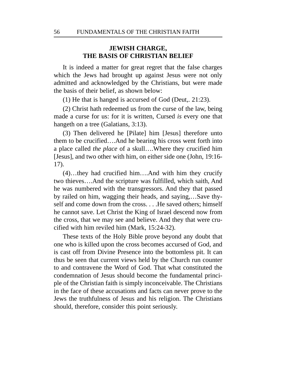# **JEWISH CHARGE, THE BASIS OF CHRISTIAN BELIEF**

It is indeed a matter for great regret that the false charges which the Jews had brought up against Jesus were not only admitted and acknowledged by the Christians, but were made the basis of their belief, as shown below:

(1) He that is hanged is accursed of God (Deut,. 21:23).

(2) Christ hath redeemed us from the curse of the law, being made a curse for us: for it is written, Cursed *is* every one that hangeth on a tree (Galatians, 3:13).

(3) Then delivered he [Pilate] him [Jesus] therefore unto them to be crucified….And he bearing his cross went forth into a place called *the place* of a skull….Where they crucified him [Jesus], and two other with him, on either side one (John, 19:16- 17).

(4)…they had crucified him….And with him they crucify two thieves….And the scripture was fulfilled, which saith, And he was numbered with the transgressors. And they that passed by railed on him, wagging their heads, and saying,…Save thyself and come down from the cross. . . .He saved others; himself he cannot save. Let Christ the King of Israel descend now from the cross, that we may see and believe. And they that were crucified with him reviled him (Mark, 15:24-32).

These texts of the Holy Bible prove beyond any doubt that one who is killed upon the cross becomes accursed of God, and is cast off from Divine Presence into the bottomless pit. It can thus be seen that current views held by the Church run counter to and contravene the Word of God. That what constituted the condemnation of Jesus should become the fundamental principle of the Christian faith is simply inconceivable. The Christians in the face of these accusations and facts can never prove to the Jews the truthfulness of Jesus and his religion. The Christians should, therefore, consider this point seriously.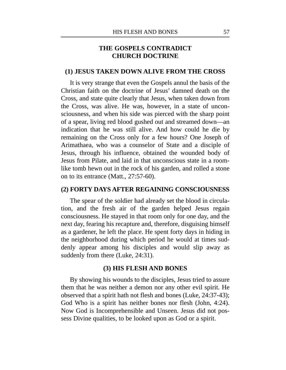# **THE GOSPELS CONTRADICT CHURCH DOCTRINE**

#### **(1) JESUS TAKEN DOWN ALIVE FROM THE CROSS**

It is very strange that even the Gospels annul the basis of the Christian faith on the doctrine of Jesus' damned death on the Cross, and state quite clearly that Jesus, when taken down from the Cross, was alive. He was, however, in a state of unconsciousness, and when his side was pierced with the sharp point of a spear, living red blood gushed out and streamed down—an indication that he was still alive. And how could he die by remaining on the Cross only for a few hours? One Joseph of Arimathaea, who was a counselor of State and a disciple of Jesus, through his influence, obtained the wounded body of Jesus from Pilate, and laid in that unconscious state in a roomlike tomb hewn out in the rock of his garden, and rolled a stone on to its entrance (Matt., 27:57-60).

#### **(2) FORTY DAYS AFTER REGAINING CONSCIOUSNESS**

The spear of the soldier had already set the blood in circulation, and the fresh air of the garden helped Jesus regain consciousness. He stayed in that room only for one day, and the next day, fearing his recapture and, therefore, disguising himself as a gardener, he left the place. He spent forty days in hiding in the neighborhood during which period he would at times suddenly appear among his disciples and would slip away as suddenly from there (Luke, 24:31).

#### **(3) HIS FLESH AND BONES**

By showing his wounds to the disciples, Jesus tried to assure them that he was neither a demon nor any other evil spirit. He observed that a spirit hath not flesh and bones (Luke, 24:37-43); God Who is a spirit has neither bones nor flesh (John, 4:24). Now God is Incomprehensible and Unseen. Jesus did not possess Divine qualities, to be looked upon as God or a spirit.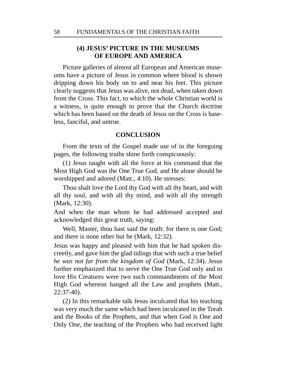# **(4) JESUS' PICTURE IN THE MUSEUMS OF EUROPE AND AMERICA**

Picture galleries of almost all European and American museums have a picture of Jesus in common where blood is shown dripping down his body on to and near his feet. This picture clearly suggests that Jesus was alive, not dead, when taken down from the Cross. This fact, to which the whole Christian world is a witness, is quite enough to prove that the Church doctrine which has been based on the death of Jesus on the Cross is baseless, fanciful, and untrue.

#### **CONCLUSION**

From the texts of the Gospel made use of in the foregoing pages, the following truths shine forth conspicuously:

(1) Jesus taught with all the force at his command that the Most High God was the One True God, and He alone should be worshipped and adored (Matt., 4:10). He stresses:

Thou shalt love the Lord thy God with all thy heart, and with all thy soul, and with all thy mind, and with all thy strength (Mark, 12:30).

And when the man whom he had addressed accepted and acknowledged this great truth, saying:

Well, Master, thou hast said the truth: for there is one God; and there is none other but he (Mark, 12:32).

Jesus was happy and pleased with him that he had spoken discreetly, and gave him the glad tidings that with such a true belief *he was not far from the kingdom of God* (Mark, 12:34). Jesus further emphasized that to serve the One True God only and to love His Creatures were two such commandments of the Most High God whereon hanged all the Law and prophets (Matt., 22:37-40).

(2) In this remarkable talk Jesus inculcated that his teaching was very much the same which had been inculcated in the Torah and the Books of the Prophets, and that when God is One and Only One, the teaching of the Prophets who had received light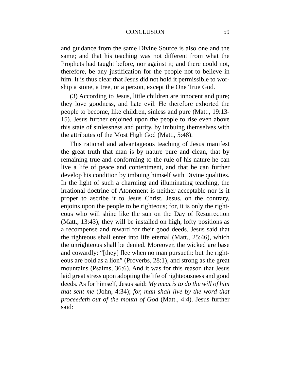and guidance from the same Divine Source is also one and the same; and that his teaching was not different from what the Prophets had taught before, nor against it; and there could not, therefore, be any justification for the people not to believe in him. It is thus clear that Jesus did not hold it permissible to worship a stone, a tree, or a person, except the One True God.

(3) According to Jesus, little children are innocent and pure; they love goodness, and hate evil. He therefore exhorted the people to become, like children, sinless and pure (Matt., 19:13- 15). Jesus further enjoined upon the people to rise even above this state of sinlessness and purity, by imbuing themselves with the attributes of the Most High God (Matt., 5:48).

This rational and advantageous teaching of Jesus manifest the great truth that man is by nature pure and clean, that by remaining true and conforming to the rule of his nature he can live a life of peace and contentment, and that he can further develop his condition by imbuing himself with Divine qualities. In the light of such a charming and illuminating teaching, the irrational doctrine of Atonement is neither acceptable nor is it proper to ascribe it to Jesus Christ. Jesus, on the contrary, enjoins upon the people to be righteous; for, it is only the righteous who will shine like the sun on the Day of Resurrection (Matt., 13:43); they will be installed on high, lofty positions as a recompense and reward for their good deeds. Jesus said that the righteous shall enter into life eternal (Matt., 25:46), which the unrighteous shall be denied. Moreover, the wicked are base and cowardly: "[they] flee when no man pursueth: but the righteous are bold as a lion" (Proverbs, 28:1), and strong as the great mountains (Psalms, 36:6). And it was for this reason that Jesus laid great stress upon adopting the life of righteousness and good deeds. As for himself, Jesus said: *My meat is to do the will of him that sent me* (John, 4:34); *for, man shall live by the word that proceedeth out of the mouth of God* (Matt., 4:4). Jesus further said: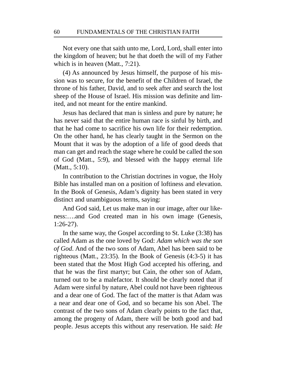Not every one that saith unto me, Lord, Lord, shall enter into the kingdom of heaven; but he that doeth the will of my Father which is in heaven (Matt., 7:21).

(4) As announced by Jesus himself, the purpose of his mission was to secure, for the benefit of the Children of Israel, the throne of his father, David, and to seek after and search the lost sheep of the House of Israel. His mission was definite and limited, and not meant for the entire mankind.

Jesus has declared that man is sinless and pure by nature; he has never said that the entire human race is sinful by birth, and that he had come to sacrifice his own life for their redemption. On the other hand, he has clearly taught in the Sermon on the Mount that it was by the adoption of a life of good deeds that man can get and reach the stage where he could be called the son of God (Matt., 5:9), and blessed with the happy eternal life (Matt., 5:10).

In contribution to the Christian doctrines in vogue, the Holy Bible has installed man on a position of loftiness and elevation. In the Book of Genesis, Adam's dignity has been stated in very distinct and unambiguous terms, saying:

And God said, Let us make man in our image, after our likeness:….and God created man in his own image (Genesis, 1:26-27).

In the same way, the Gospel according to St. Luke (3:38) has called Adam as the one loved by God: *Adam which was the son of God*. And of the two sons of Adam, Abel has been said to be righteous (Matt., 23:35). In the Book of Genesis (4:3-5) it has been stated that the Most High God accepted his offering, and that he was the first martyr; but Cain, the other son of Adam, turned out to be a malefactor. It should be clearly noted that if Adam were sinful by nature, Abel could not have been righteous and a dear one of God. The fact of the matter is that Adam was a near and dear one of God, and so became his son Abel. The contrast of the two sons of Adam clearly points to the fact that, among the progeny of Adam, there will be both good and bad people. Jesus accepts this without any reservation. He said: *He*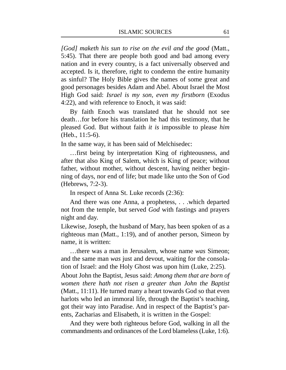*[God] maketh his sun to rise on the evil and the good* (Matt., 5:45). That there are people both good and bad among every nation and in every country, is a fact universally observed and accepted. Is it, therefore, right to condemn the entire humanity as sinful? The Holy Bible gives the names of some great and good personages besides Adam and Abel. About Israel the Most High God said: *Israel is my son, even my firstborn* (Exodus 4:22), and with reference to Enoch, it was said:

By faith Enoch was translated that he should not see death…for before his translation he had this testimony, that he pleased God. But without faith *it is* impossible to please *him* (Heb., 11:5-6).

In the same way, it has been said of Melchisedec:

…first being by interpretation King of righteousness, and after that also King of Salem, which is King of peace; without father, without mother, without descent, having neither beginning of days, nor end of life; but made like unto the Son of God (Hebrews, 7:2-3).

In respect of Anna St. Luke records (2:36):

And there was one Anna, a prophetess, . . .which departed not from the temple, but served *God* with fastings and prayers night and day.

Likewise, Joseph, the husband of Mary, has been spoken of as a righteous man (Matt., 1:19), and of another person, Simeon by name, it is written:

…there was a man in Jerusalem, whose name *was* Simeon; and the same man *was* just and devout, waiting for the consolation of Israel: and the Holy Ghost was upon him (Luke, 2:25).

About John the Baptist, Jesus said: *Among them that are born of women there hath not risen a greater than John the Baptist* (Matt., 11:11). He turned many a heart towards God so that even harlots who led an immoral life, through the Baptist's teaching, got their way into Paradise. And in respect of the Baptist's parents, Zacharias and Elisabeth, it is written in the Gospel:

And they were both righteous before God, walking in all the commandments and ordinances of the Lord blameless (Luke, 1:6).